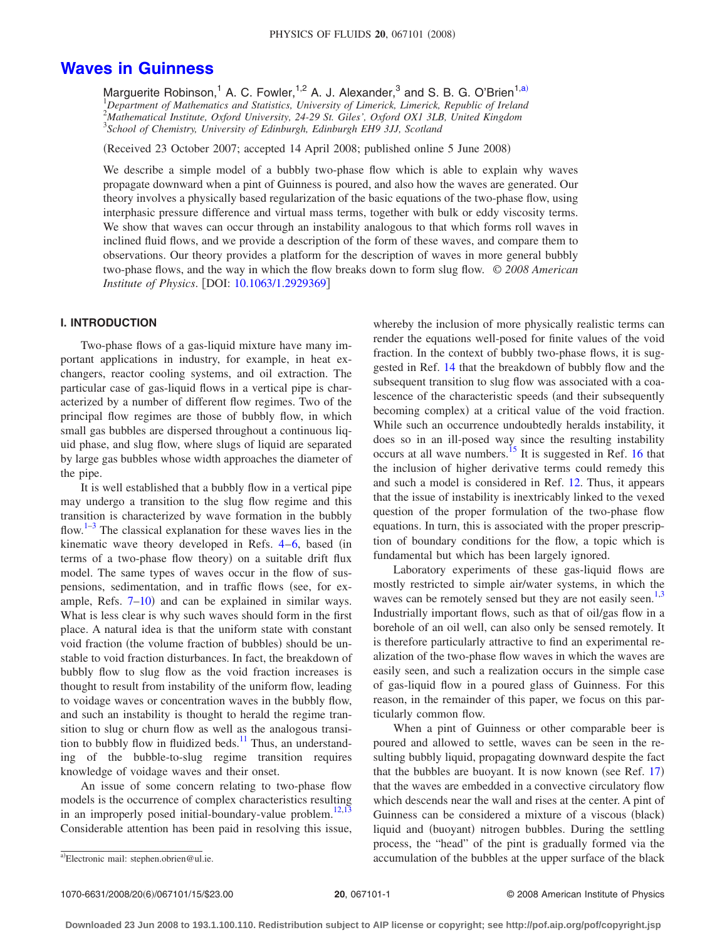# **[Waves in Guinness](http://dx.doi.org/10.1063/1.2929369)**

Marguerite Robinson,<sup>1</sup> A. C. Fowler,<sup>1,2</sup> A. J. Alexander,<sup>3</sup> and S. B. G. O'Brien<sup>1[,a](#page-0-0))</sup> *Department of Mathematics and Statistics, University of Limerick, Limerick, Republic of Ireland Mathematical Institute, Oxford University, 24-29 St. Giles', Oxford OX1 3LB, United Kingdom School of Chemistry, University of Edinburgh, Edinburgh EH9 3JJ, Scotland*

Received 23 October 2007; accepted 14 April 2008; published online 5 June 2008-

We describe a simple model of a bubbly two-phase flow which is able to explain why waves propagate downward when a pint of Guinness is poured, and also how the waves are generated. Our theory involves a physically based regularization of the basic equations of the two-phase flow, using interphasic pressure difference and virtual mass terms, together with bulk or eddy viscosity terms. We show that waves can occur through an instability analogous to that which forms roll waves in inclined fluid flows, and we provide a description of the form of these waves, and compare them to observations. Our theory provides a platform for the description of waves in more general bubbly two-phase flows, and the way in which the flow breaks down to form slug flow. © *2008 American Institute of Physics.* [DOI: [10.1063/1.2929369](http://dx.doi.org/10.1063/1.2929369)]

# **I. INTRODUCTION**

Two-phase flows of a gas-liquid mixture have many important applications in industry, for example, in heat exchangers, reactor cooling systems, and oil extraction. The particular case of gas-liquid flows in a vertical pipe is characterized by a number of different flow regimes. Two of the principal flow regimes are those of bubbly flow, in which small gas bubbles are dispersed throughout a continuous liquid phase, and slug flow, where slugs of liquid are separated by large gas bubbles whose width approaches the diameter of the pipe.

It is well established that a bubbly flow in a vertical pipe may undergo a transition to the slug flow regime and this transition is characterized by wave formation in the bubbly flow. $1-3$  $1-3$  The classical explanation for these waves lies in the kinematic wave theory developed in Refs.  $4-6$ , based (in terms of a two-phase flow theory) on a suitable drift flux model. The same types of waves occur in the flow of suspensions, sedimentation, and in traffic flows (see, for example, Refs.  $7-10$  $7-10$ ) and can be explained in similar ways. What is less clear is why such waves should form in the first place. A natural idea is that the uniform state with constant void fraction (the volume fraction of bubbles) should be unstable to void fraction disturbances. In fact, the breakdown of bubbly flow to slug flow as the void fraction increases is thought to result from instability of the uniform flow, leading to voidage waves or concentration waves in the bubbly flow, and such an instability is thought to herald the regime transition to slug or churn flow as well as the analogous transition to bubbly flow in fluidized beds.<sup>11</sup> Thus, an understanding of the bubble-to-slug regime transition requires knowledge of voidage waves and their onset.

An issue of some concern relating to two-phase flow models is the occurrence of complex characteristics resulting in an improperly posed initial-boundary-value problem.<sup>12,[13](#page-14-8)</sup> Considerable attention has been paid in resolving this issue, whereby the inclusion of more physically realistic terms can render the equations well-posed for finite values of the void fraction. In the context of bubbly two-phase flows, it is suggested in Ref. [14](#page-14-9) that the breakdown of bubbly flow and the subsequent transition to slug flow was associated with a coalescence of the characteristic speeds (and their subsequently becoming complex) at a critical value of the void fraction. While such an occurrence undoubtedly heralds instability, it does so in an ill-posed way since the resulting instability occurs at all wave numbers[.15](#page-14-10) It is suggested in Ref. [16](#page-14-11) that the inclusion of higher derivative terms could remedy this and such a model is considered in Ref. [12.](#page-14-7) Thus, it appears that the issue of instability is inextricably linked to the vexed question of the proper formulation of the two-phase flow equations. In turn, this is associated with the proper prescription of boundary conditions for the flow, a topic which is fundamental but which has been largely ignored.

Laboratory experiments of these gas-liquid flows are mostly restricted to simple air/water systems, in which the waves can be remotely sensed but they are not easily seen. $1,3$  $1,3$ Industrially important flows, such as that of oil/gas flow in a borehole of an oil well, can also only be sensed remotely. It is therefore particularly attractive to find an experimental realization of the two-phase flow waves in which the waves are easily seen, and such a realization occurs in the simple case of gas-liquid flow in a poured glass of Guinness. For this reason, in the remainder of this paper, we focus on this particularly common flow.

When a pint of Guinness or other comparable beer is poured and allowed to settle, waves can be seen in the resulting bubbly liquid, propagating downward despite the fact that the bubbles are buoyant. It is now known (see Ref.  $17$ ) that the waves are embedded in a convective circulatory flow which descends near the wall and rises at the center. A pint of Guinness can be considered a mixture of a viscous (black) liquid and (buoyant) nitrogen bubbles. During the settling process, the "head" of the pint is gradually formed via the accumulation of the bubbles at the upper surface of the black

<span id="page-0-0"></span>Electronic mail: stephen.obrien@ul.ie.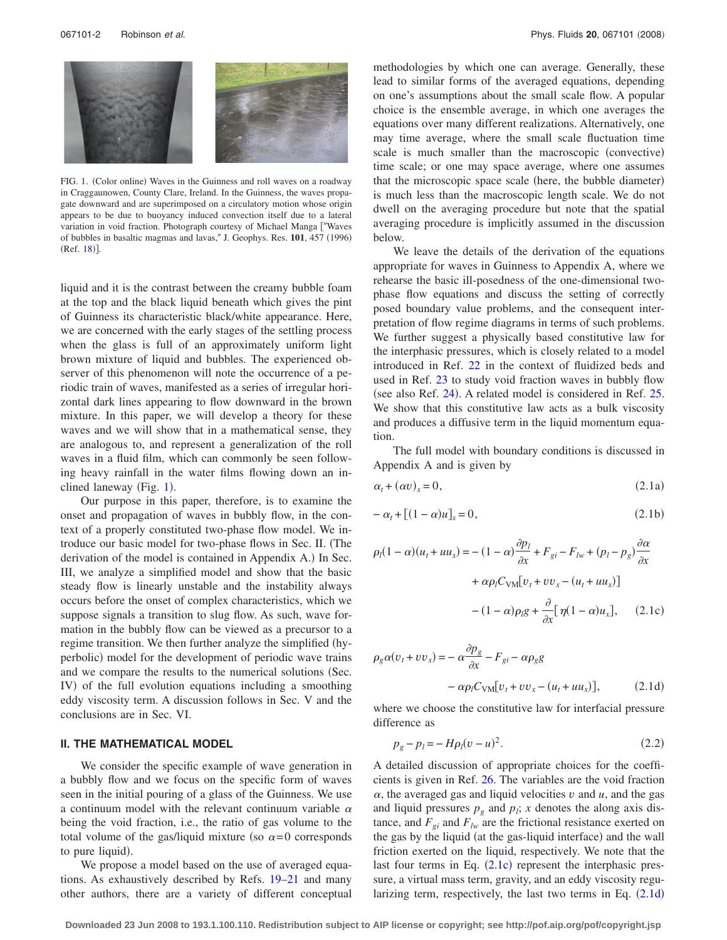<span id="page-1-0"></span>

FIG. 1. (Color online) Waves in the Guinness and roll waves on a roadway in Craggaunowen, County Clare, Ireland. In the Guinness, the waves propagate downward and are superimposed on a circulatory motion whose origin appears to be due to buoyancy induced convection itself due to a lateral variation in void fraction. Photograph courtesy of Michael Manga ["Waves of bubbles in basaltic magmas and lavas," J. Geophys. Res. 101, 457 (1996)  $(Ref. 18)$  $(Ref. 18)$  $(Ref. 18)$ ].

liquid and it is the contrast between the creamy bubble foam at the top and the black liquid beneath which gives the pint of Guinness its characteristic black/white appearance. Here, we are concerned with the early stages of the settling process when the glass is full of an approximately uniform light brown mixture of liquid and bubbles. The experienced observer of this phenomenon will note the occurrence of a periodic train of waves, manifested as a series of irregular horizontal dark lines appearing to flow downward in the brown mixture. In this paper, we will develop a theory for these waves and we will show that in a mathematical sense, they are analogous to, and represent a generalization of the roll waves in a fluid film, which can commonly be seen following heavy rainfall in the water films flowing down an in-clined laneway (Fig. [1](#page-1-0)).

Our purpose in this paper, therefore, is to examine the onset and propagation of waves in bubbly flow, in the context of a properly constituted two-phase flow model. We introduce our basic model for two-phase flows in Sec. II. The derivation of the model is contained in Appendix A.) In Sec. III, we analyze a simplified model and show that the basic steady flow is linearly unstable and the instability always occurs before the onset of complex characteristics, which we suppose signals a transition to slug flow. As such, wave formation in the bubbly flow can be viewed as a precursor to a regime transition. We then further analyze the simplified (hyperbolic) model for the development of periodic wave trains and we compare the results to the numerical solutions (Sec. IV) of the full evolution equations including a smoothing eddy viscosity term. A discussion follows in Sec. V and the conclusions are in Sec. VI.

# **II. THE MATHEMATICAL MODEL**

We consider the specific example of wave generation in a bubbly flow and we focus on the specific form of waves seen in the initial pouring of a glass of the Guinness. We use a continuum model with the relevant continuum variable  $\alpha$ being the void fraction, i.e., the ratio of gas volume to the total volume of the gas/liquid mixture (so  $\alpha = 0$  corresponds to pure liquid).

We propose a model based on the use of averaged equations. As exhaustively described by Refs. [19–](#page-14-13)[21](#page-14-14) and many other authors, there are a variety of different conceptual

methodologies by which one can average. Generally, these lead to similar forms of the averaged equations, depending on one's assumptions about the small scale flow. A popular choice is the ensemble average, in which one averages the equations over many different realizations. Alternatively, one may time average, where the small scale fluctuation time scale is much smaller than the macroscopic (convective) time scale; or one may space average, where one assumes that the microscopic space scale (here, the bubble diameter) is much less than the macroscopic length scale. We do not dwell on the averaging procedure but note that the spatial averaging procedure is implicitly assumed in the discussion below.

We leave the details of the derivation of the equations appropriate for waves in Guinness to Appendix A, where we rehearse the basic ill-posedness of the one-dimensional twophase flow equations and discuss the setting of correctly posed boundary value problems, and the consequent interpretation of flow regime diagrams in terms of such problems. We further suggest a physically based constitutive law for the interphasic pressures, which is closely related to a model introduced in Ref. [22](#page-14-15) in the context of fluidized beds and used in Ref. [23](#page-14-16) to study void fraction waves in bubbly flow (see also Ref.  $24$ ). A related model is considered in Ref.  $25$ . We show that this constitutive law acts as a bulk viscosity and produces a diffusive term in the liquid momentum equation.

The full model with boundary conditions is discussed in Appendix A and is given by

<span id="page-1-3"></span>
$$
\alpha_t + (\alpha v)_x = 0,\tag{2.1a}
$$

$$
-\alpha_t + [(1-\alpha)u]_x = 0,\t(2.1b)
$$

<span id="page-1-1"></span>
$$
\rho_l (1 - \alpha)(u_t + uu_x) = -(1 - \alpha) \frac{\partial p_l}{\partial x} + F_{gi} - F_{lw} + (p_l - p_g) \frac{\partial \alpha}{\partial x}
$$

$$
+ \alpha \rho_l C_{VM} [v_t + vv_x - (u_t + uu_x)]
$$

$$
- (1 - \alpha) \rho_l g + \frac{\partial}{\partial x} [\eta (1 - \alpha) u_x], \quad (2.1c)
$$

<span id="page-1-2"></span>
$$
\rho_g \alpha(v_t + vv_x) = -\alpha \frac{\partial p_g}{\partial x} - F_{gi} - \alpha \rho_g g
$$
  

$$
-\alpha \rho_l C_{VM} [v_t + vv_x - (u_t + uu_x)], \qquad (2.1d)
$$

where we choose the constitutive law for interfacial pressure difference as

$$
p_g - p_l = -H\rho_l(v - u)^2.
$$
\n(2.2)

A detailed discussion of appropriate choices for the coefficients is given in Ref. [26.](#page-14-19) The variables are the void fraction  $\alpha$ , the averaged gas and liquid velocities  $\nu$  and  $\mu$ , and the gas and liquid pressures  $p_g$  and  $p_l$ ; *x* denotes the along axis distance, and  $F_{gi}$  and  $F_{lw}$  are the frictional resistance exerted on the gas by the liquid (at the gas-liquid interface) and the wall friction exerted on the liquid, respectively. We note that the last four terms in Eq.  $(2.1c)$  $(2.1c)$  $(2.1c)$  represent the interphasic pressure, a virtual mass term, gravity, and an eddy viscosity regularizing term, respectively, the last two terms in Eq.  $(2.1d)$  $(2.1d)$  $(2.1d)$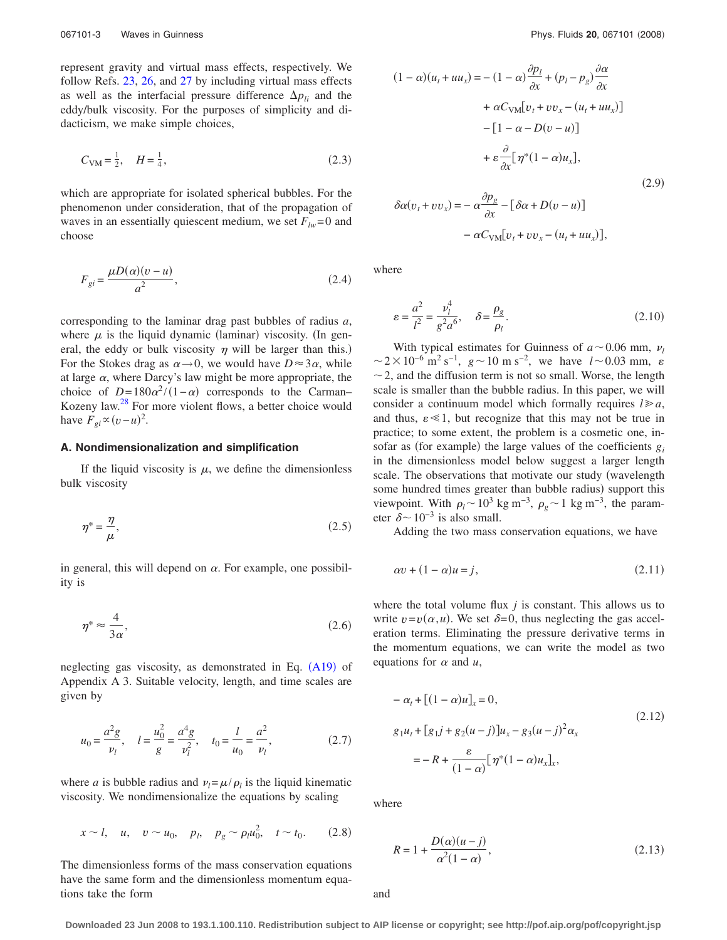represent gravity and virtual mass effects, respectively. We follow Refs. [23,](#page-14-16) [26,](#page-14-19) and [27](#page-14-21) by including virtual mass effects as well as the interfacial pressure difference  $\Delta p_{li}$  and the eddy/bulk viscosity. For the purposes of simplicity and didacticism, we make simple choices,

$$
C_{\text{VM}} = \frac{1}{2}, \quad H = \frac{1}{4},\tag{2.3}
$$

which are appropriate for isolated spherical bubbles. For the phenomenon under consideration, that of the propagation of waves in an essentially quiescent medium, we set  $F_{lw}$ =0 and choose

$$
F_{gi} = \frac{\mu D(\alpha)(v - u)}{a^2},\tag{2.4}
$$

corresponding to the laminar drag past bubbles of radius *a*, where  $\mu$  is the liquid dynamic (laminar) viscosity. (In general, the eddy or bulk viscosity  $\eta$  will be larger than this.) For the Stokes drag as  $\alpha \rightarrow 0$ , we would have  $D \approx 3\alpha$ , while at large  $\alpha$ , where Darcy's law might be more appropriate, the choice of  $D=180\alpha^2/(1-\alpha)$  corresponds to the Carman– Kozeny law.<sup>28</sup> For more violent flows, a better choice would have  $F_{gi} \propto (v - u)^2$ .

#### **A. Nondimensionalization and simplification**

If the liquid viscosity is  $\mu$ , we define the dimensionless bulk viscosity

$$
\eta^* = \frac{\eta}{\mu},\tag{2.5}
$$

in general, this will depend on  $\alpha$ . For example, one possibility is

$$
\eta^* \approx \frac{4}{3\alpha},\tag{2.6}
$$

neglecting gas viscosity, as demonstrated in Eq. ([A19](#page-11-0)) of Appendix A 3. Suitable velocity, length, and time scales are given by

<span id="page-2-0"></span>
$$
u_0 = \frac{a^2 g}{\nu_l}, \quad l = \frac{u_0^2}{g} = \frac{a^4 g}{\nu_l^2}, \quad t_0 = \frac{l}{u_0} = \frac{a^2}{\nu_l}, \tag{2.7}
$$

where *a* is bubble radius and  $\nu_l = \mu / \rho_l$  is the liquid kinematic viscosity. We nondimensionalize the equations by scaling

$$
x \sim l
$$
,  $u$ ,  $v \sim u_0$ ,  $p_l$ ,  $p_g \sim \rho_l u_0^2$ ,  $t \sim t_0$ . (2.8)

The dimensionless forms of the mass conservation equations have the same form and the dimensionless momentum equations take the form

$$
(1 - \alpha)(u_t + uu_x) = -(1 - \alpha)\frac{\partial p_l}{\partial x} + (p_l - p_g)\frac{\partial \alpha}{\partial x}
$$

$$
+ \alpha C_{VM}[v_t + vv_x - (u_t + uu_x)]
$$

$$
- [1 - \alpha - D(v - u)]
$$

$$
+ \varepsilon \frac{\partial}{\partial x} [\eta^*(1 - \alpha)u_x],
$$

$$
\delta \alpha(v_t + vv_x) = -\alpha \frac{\partial p_g}{\partial x} - [\delta \alpha + D(v - u)]
$$

$$
- \alpha C_{VM}[v_t + vv_x - (u_t + uu_x)],
$$

$$
(2.9)
$$

where

$$
\varepsilon = \frac{a^2}{l^2} = \frac{\nu_l^4}{g^2 a^6}, \quad \delta = \frac{\rho_g}{\rho_l}.
$$
 (2.10)

With typical estimates for Guinness of  $a \sim 0.06$  mm,  $\nu_l$  $\sim$  2 × 10<sup>-6</sup> m<sup>2</sup> s<sup>-1</sup>,  $g \sim 10$  m s<sup>-2</sup>, we have  $l \sim 0.03$  mm,  $\varepsilon$  $\sim$  2, and the diffusion term is not so small. Worse, the length scale is smaller than the bubble radius. In this paper, we will consider a continuum model which formally requires  $l \ge a$ , and thus,  $\varepsilon \ll 1$ , but recognize that this may not be true in practice; to some extent, the problem is a cosmetic one, insofar as (for example) the large values of the coefficients  $g_i$ in the dimensionless model below suggest a larger length scale. The observations that motivate our study (wavelength some hundred times greater than bubble radius) support this viewpoint. With  $\rho_l \sim 10^3$  kg m<sup>-3</sup>,  $\rho_g \sim 1$  kg m<sup>-3</sup>, the parameter  $\delta$  ~ 10<sup>-3</sup> is also small.

Adding the two mass conservation equations, we have

<span id="page-2-1"></span>
$$
\alpha v + (1 - \alpha)u = j,\tag{2.11}
$$

where the total volume flux  $j$  is constant. This allows us to write  $v = v(\alpha, u)$ . We set  $\delta = 0$ , thus neglecting the gas acceleration terms. Eliminating the pressure derivative terms in the momentum equations, we can write the model as two equations for  $\alpha$  and  $u$ ,

$$
-\alpha_{t} + [(1 - \alpha)u]_{x} = 0,
$$
  
\n
$$
g_{1}u_{t} + [g_{1}j + g_{2}(u - j)]u_{x} - g_{3}(u - j)^{2}\alpha_{x}
$$
  
\n
$$
= -R + \frac{\varepsilon}{(1 - \alpha)} [\eta^{*}(1 - \alpha)u_{x}]_{x},
$$
\n(2.12)

where

$$
R = 1 + \frac{D(\alpha)(u - j)}{\alpha^2 (1 - \alpha)},
$$
\n(2.13)

and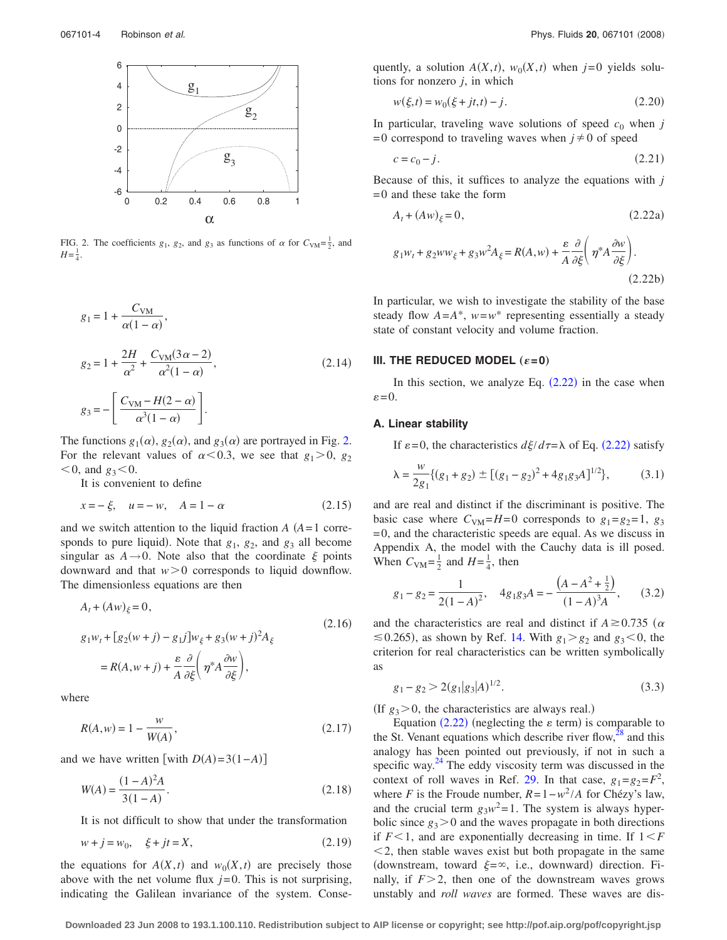<span id="page-3-0"></span>

FIG. 2. The coefficients  $g_1$ ,  $g_2$ , and  $g_3$  as functions of  $\alpha$  for  $C_{VM} = \frac{1}{2}$ , and  $H = \frac{1}{4}$ .

$$
g_1 = 1 + \frac{C_{\text{VM}}}{\alpha(1 - \alpha)},
$$
  
\n
$$
g_2 = 1 + \frac{2H}{\alpha^2} + \frac{C_{\text{VM}}(3\alpha - 2)}{\alpha^2(1 - \alpha)},
$$
  
\n
$$
g_3 = -\left[\frac{C_{\text{VM}} - H(2 - \alpha)}{\alpha^3(1 - \alpha)}\right].
$$
\n(2.14)

The functions  $g_1(\alpha)$ ,  $g_2(\alpha)$ , and  $g_3(\alpha)$  are portrayed in Fig. [2.](#page-3-0) For the relevant values of  $\alpha < 0.3$ , we see that  $g_1 > 0$ ,  $g_2$  $0,$  and  $g_3$   $0.$ 

It is convenient to define

$$
x = -\xi, \quad u = -w, \quad A = 1 - \alpha \tag{2.15}
$$

and we switch attention to the liquid fraction  $A(A=1)$  corresponds to pure liquid). Note that  $g_1$ ,  $g_2$ , and  $g_3$  all become singular as  $A \rightarrow 0$ . Note also that the coordinate  $\xi$  points downward and that  $w>0$  corresponds to liquid downflow. The dimensionless equations are then

$$
A_t + (Aw)_{\xi} = 0,
$$
  
\n
$$
g_1 w_t + [g_2(w+j) - g_1 j] w_{\xi} + g_3(w+j)^2 A_{\xi}
$$
  
\n
$$
= R(A, w+j) + \frac{\varepsilon}{A} \frac{\partial}{\partial \xi} \left( \eta^* A \frac{\partial w}{\partial \xi} \right),
$$
\n(2.16)

<span id="page-3-7"></span>where

$$
R(A, w) = 1 - \frac{w}{W(A)},
$$
\n(2.17)

<span id="page-3-2"></span>and we have written [with  $D(A) = 3(1-A)$ ]

$$
W(A) = \frac{(1-A)^2 A}{3(1-A)}.
$$
\n(2.18)

It is not difficult to show that under the transformation

 $w + j = w_0, \quad \xi + jt = X,$  $(2.19)$ 

<span id="page-3-5"></span>the equations for  $A(X,t)$  and  $w_0(X,t)$  are precisely those above with the net volume flux  $j=0$ . This is not surprising, indicating the Galilean invariance of the system. Conse-

quently, a solution  $A(X,t)$ ,  $w_0(X,t)$  when  $j=0$  yields solutions for nonzero *j*, in which

$$
w(\xi, t) = w_0(\xi + jt, t) - j.
$$
 (2.20)

In particular, traveling wave solutions of speed  $c_0$  when  $j$  $= 0$  correspond to traveling waves when  $j \neq 0$  of speed

<span id="page-3-4"></span>
$$
c = c_0 - j. \tag{2.21}
$$

<span id="page-3-1"></span>Because of this, it suffices to analyze the equations with *j*  $= 0$  and these take the form

$$
A_t + (Aw)_{\xi} = 0,\t\t(2.22a)
$$

<span id="page-3-6"></span>
$$
g_1 w_t + g_2 w w_{\xi} + g_3 w^2 A_{\xi} = R(A, w) + \frac{\varepsilon}{A} \frac{\partial}{\partial \xi} \left( \eta^* A \frac{\partial w}{\partial \xi} \right).
$$
\n(2.22b)

In particular, we wish to investigate the stability of the base steady flow  $A = A^*$ ,  $w = w^*$  representing essentially a steady state of constant velocity and volume fraction.

# **III. THE REDUCED MODEL**  $(\varepsilon=0)$

In this section, we analyze Eq.  $(2.22)$  $(2.22)$  $(2.22)$  in the case when  $\varepsilon = 0$ .

## **A. Linear stability**

If  $\varepsilon = 0$ , the characteristics  $d\xi/d\tau = \lambda$  of Eq. ([2.22](#page-3-1)) satisfy

$$
\lambda = \frac{w}{2g_1} \{ (g_1 + g_2) \pm [(g_1 - g_2)^2 + 4g_1 g_3 A]^{1/2} \},\tag{3.1}
$$

and are real and distinct if the discriminant is positive. The basic case where  $C_{VM} = H = 0$  corresponds to  $g_1 = g_2 = 1$ ,  $g_3$ = 0, and the characteristic speeds are equal. As we discuss in Appendix A, the model with the Cauchy data is ill posed. When  $C_{\text{VM}} = \frac{1}{2}$  and  $H = \frac{1}{4}$ , then

$$
g_1 - g_2 = \frac{1}{2(1-A)^2}
$$
,  $4g_1g_3A = -\frac{(A-A^2+\frac{1}{2})}{(1-A)^3A}$ , (3.2)

and the characteristics are real and distinct if  $A \ge 0.735$  ( $\alpha$  $\leq$  0.265), as shown by Ref. [14.](#page-14-9) With  $g_1 > g_2$  and  $g_3$  < 0, the criterion for real characteristics can be written symbolically as

$$
g_1 - g_2 > 2(g_1|g_3|A)^{1/2}.
$$
\n(3.3)

<span id="page-3-3"></span>(If  $g_3$ >0, the characteristics are always real.)

Equation  $(2.22)$  $(2.22)$  $(2.22)$  (neglecting the  $\varepsilon$  term) is comparable to the St. Venant equations which describe river flow, $^{28}$  and this analogy has been pointed out previously, if not in such a specific way. $^{24}$  The eddy viscosity term was discussed in the context of roll waves in Ref. [29.](#page-14-23) In that case,  $g_1 = g_2 = F^2$ , where *F* is the Froude number,  $R = 1 - w^2/A$  for Chézy's law, and the crucial term  $g_3w^2 = 1$ . The system is always hyperbolic since  $g_3$  > 0 and the waves propagate in both directions if  $F < 1$ , and are exponentially decreasing in time. If  $1 < F$  $\leq$  2, then stable waves exist but both propagate in the same (downstream, toward  $\xi = \infty$ , i.e., downward) direction. Finally, if  $F>2$ , then one of the downstream waves grows unstably and *roll waves* are formed. These waves are dis-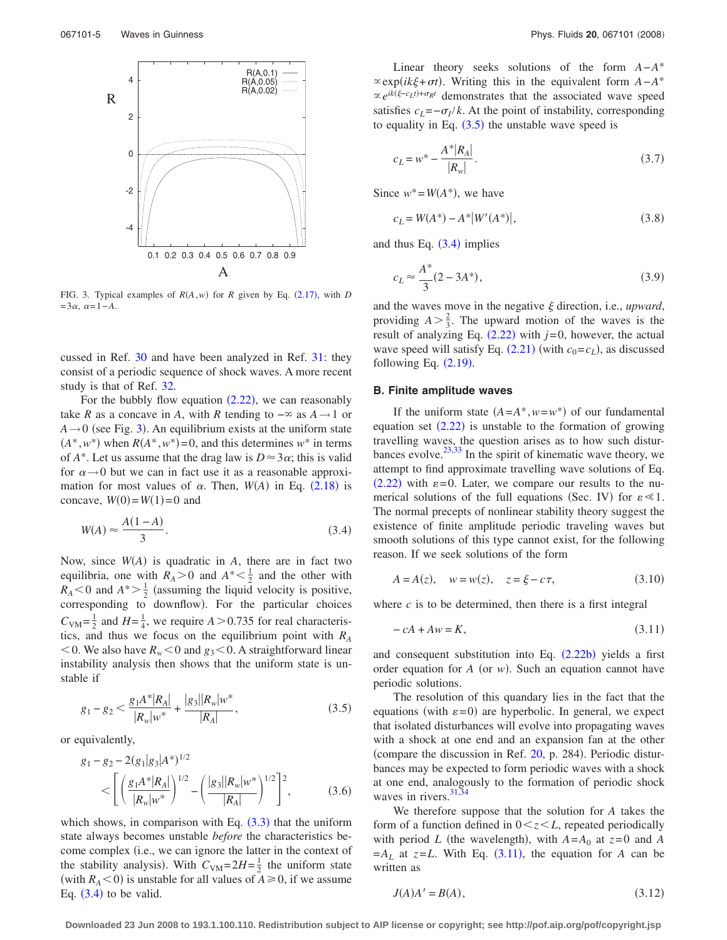<span id="page-4-0"></span>

FIG. 3. Typical examples of  $R(A, w)$  for  $R$  given by Eq.  $(2.17)$  $(2.17)$  $(2.17)$ , with  $D$  $= 3\alpha$ ,  $\alpha = 1 - A$ .

cussed in Ref. [30](#page-14-24) and have been analyzed in Ref. [31:](#page-14-25) they consist of a periodic sequence of shock waves. A more recent study is that of Ref. [32.](#page-14-26)

For the bubbly flow equation  $(2.22)$  $(2.22)$  $(2.22)$ , we can reasonably take *R* as a concave in *A*, with *R* tending to  $-\infty$  as *A* → 1 or  $A \rightarrow 0$  (see Fig. [3](#page-4-0)). An equilibrium exists at the uniform state  $(A^*, w^*)$  when  $R(A^*, w^*) = 0$ , and this determines  $w^*$  in terms of  $A^*$ . Let us assume that the drag law is  $D \approx 3\alpha$ ; this is valid for  $\alpha \rightarrow 0$  but we can in fact use it as a reasonable approximation for most values of  $\alpha$ . Then,  $W(A)$  in Eq. ([2.18](#page-3-2)) is concave,  $W(0) = W(1) = 0$  and

<span id="page-4-1"></span>
$$
W(A) \approx \frac{A(1-A)}{3}.\tag{3.4}
$$

Now, since  $W(A)$  is quadratic in  $A$ , there are in fact two equilibria, one with  $R_A > 0$  and  $A^* < \frac{1}{2}$  and the other with  $R_A < 0$  and  $A^* > \frac{1}{2}$  (assuming the liquid velocity is positive, corresponding to downflow). For the particular choices  $C_{\text{VM}} = \frac{1}{2}$  and  $H = \frac{1}{4}$ , we require  $A > 0.735$  for real characteristics, and thus we focus on the equilibrium point with  $R_A$  $0$ . We also have  $R_w$   $0$  and  $g_3$   $0$ . A straightforward linear instability analysis then shows that the uniform state is unstable if

<span id="page-4-2"></span>
$$
g_1 - g_2 < \frac{g_1 A^* |R_A|}{|R_w| w^*} + \frac{|g_3| |R_w| w^*}{|R_A|},\tag{3.5}
$$

or equivalently,

$$
g_1 - g_2 - 2(g_1|g_3|A^*)^{1/2}
$$
  

$$
< \left[ \left( \frac{g_1 A^* |R_A|}{|R_w|w^*} \right)^{1/2} - \left( \frac{|g_3||R_w|w^*}{|R_A|} \right)^{1/2} \right]^2,
$$
(3.6)

which shows, in comparison with Eq.  $(3.3)$  $(3.3)$  $(3.3)$  that the uniform state always becomes unstable *before* the characteristics become complex (i.e., we can ignore the latter in the context of the stability analysis). With  $C_{VM} = 2H = \frac{1}{2}$  the uniform state (with  $R_A < 0$ ) is unstable for all values of  $A \ge 0$ , if we assume Eq.  $(3.4)$  $(3.4)$  $(3.4)$  to be valid.

Linear theory seeks solutions of the form *A*−*A*\* exp*ik*+*t*-. Writing this in the equivalent form *A*−*A*\* *eik*−*cLt*-<sup>+</sup>*Rt* demonstrates that the associated wave speed satisfies  $c_L = -\frac{\sigma_I}{k}$ . At the point of instability, corresponding to equality in Eq.  $(3.5)$  $(3.5)$  $(3.5)$  the unstable wave speed is

$$
c_L = w^* - \frac{A^* |R_A|}{|R_w|}.
$$
\n(3.7)

Since  $w^* = W(A^*)$ , we have

$$
c_L = W(A^*) - A^*|W'(A^*)|,\t(3.8)
$$

and thus Eq.  $(3.4)$  $(3.4)$  $(3.4)$  implies

$$
c_L \approx \frac{A^*}{3} (2 - 3A^*),
$$
\n(3.9)

and the waves move in the negative  $\xi$  direction, i.e., *upward*, providing  $A > \frac{2}{3}$ . The upward motion of the waves is the result of analyzing Eq.  $(2.22)$  $(2.22)$  $(2.22)$  with  $j=0$ , however, the actual wave speed will satisfy Eq.  $(2.21)$  $(2.21)$  $(2.21)$  (with  $c_0 = c_L$ ), as discussed following Eq.  $(2.19)$  $(2.19)$  $(2.19)$ .

# **B. Finite amplitude waves**

If the uniform state  $(A = A^*, w = w^*)$  of our fundamental equation set  $(2.22)$  $(2.22)$  $(2.22)$  is unstable to the formation of growing travelling waves, the question arises as to how such distur-bances evolve.<sup>23[,33](#page-14-27)</sup> In the spirit of kinematic wave theory, we attempt to find approximate travelling wave solutions of Eq.  $(2.22)$  $(2.22)$  $(2.22)$  with  $\varepsilon = 0$ . Later, we compare our results to the numerical solutions of the full equations (Sec. IV) for  $\varepsilon \ll 1$ . The normal precepts of nonlinear stability theory suggest the existence of finite amplitude periodic traveling waves but smooth solutions of this type cannot exist, for the following reason. If we seek solutions of the form

$$
A = A(z), \quad w = w(z), \quad z = \xi - c\tau,
$$
 (3.10)

<span id="page-4-3"></span>where  $c$  is to be determined, then there is a first integral

$$
-cA + Aw = K,\tag{3.11}
$$

and consequent substitution into Eq.  $(2.22b)$  $(2.22b)$  $(2.22b)$  yields a first order equation for  $A$  (or  $w$ ). Such an equation cannot have periodic solutions.

The resolution of this quandary lies in the fact that the equations (with  $\varepsilon = 0$ ) are hyperbolic. In general, we expect that isolated disturbances will evolve into propagating waves with a shock at one end and an expansion fan at the other (compare the discussion in Ref.  $20$ , p. 284). Periodic disturbances may be expected to form periodic waves with a shock at one end, analogously to the formation of periodic shock waves in rivers.<sup>31,[34](#page-14-29)</sup>

We therefore suppose that the solution for *A* takes the form of a function defined in  $0 \lt z \lt L$ , repeated periodically with period *L* (the wavelength), with  $A = A_0$  at  $z = 0$  and *A*  $=A_L$  at  $z=L$ . With Eq. ([3.11](#page-4-3)), the equation for *A* can be written as

<span id="page-4-4"></span>
$$
J(A)A' = B(A),\tag{3.12}
$$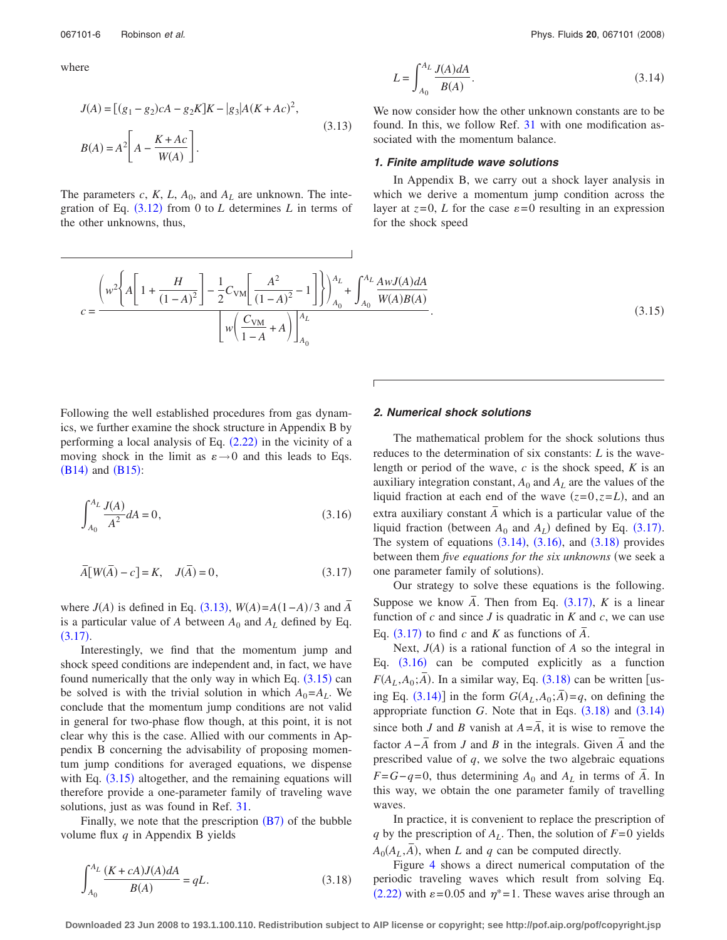where

<span id="page-5-0"></span>
$$
J(A) = [(g_1 - g_2)cA - g_2K]K - |g_3|A(K + Ac)^2,
$$
  
\n
$$
B(A) = A^2 \left[ A - \frac{K + Ac}{W(A)} \right].
$$
\n(3.13)

The parameters  $c$ ,  $K$ ,  $L$ ,  $A_0$ , and  $A_L$  are unknown. The integration of Eq.  $(3.12)$  $(3.12)$  $(3.12)$  from 0 to *L* determines *L* in terms of the other unknowns, thus,

<span id="page-5-2"></span>
$$
L = \int_{A_0}^{A_L} \frac{J(A)dA}{B(A)}.
$$
 (3.14)

We now consider how the other unknown constants are to be found. In this, we follow Ref. [31](#page-14-25) with one modification associated with the momentum balance.

# *1. Finite amplitude wave solutions*

In Appendix B, we carry out a shock layer analysis in which we derive a momentum jump condition across the layer at  $z=0$ , L for the case  $\varepsilon=0$  resulting in an expression for the shock speed

$$
c = \frac{\left(w^2 \left\{A \left[1 + \frac{H}{(1-A)^2}\right] - \frac{1}{2}C_{VM}\left[\frac{A^2}{(1-A)^2} - 1\right]\right\}\right)_{A_0}^{A_L} + \int_{A_0}^{A_L} \frac{A w J(A) dA}{W(A) B(A)}}{\left[w \left(\frac{C_{VM}}{1-A} + A\right)\right]_{A_0}^{A_L}}.
$$
\n(3.15)

Following the well established procedures from gas dynamics, we further examine the shock structure in Appendix B by performing a local analysis of Eq.  $(2.22)$  $(2.22)$  $(2.22)$  in the vicinity of a moving shock in the limit as  $\varepsilon \rightarrow 0$  and this leads to Eqs.  $(B14)$  $(B14)$  $(B14)$  and  $(B15)$  $(B15)$  $(B15)$ :

<span id="page-5-3"></span>
$$
\int_{A_0}^{A_L} \frac{J(A)}{A^2} dA = 0,
$$
\n(3.16)

<span id="page-5-1"></span>
$$
\overline{A}[W(\overline{A}) - c] = K, \quad J(\overline{A}) = 0,
$$
\n(3.17)

where *J*(*A*) is defined in Eq. ([3.13](#page-5-0)),  $W(A) = A(1-A)/3$  and  $\overline{A}$ is a particular value of *A* between  $A_0$  and  $A_L$  defined by Eq.  $(3.17).$  $(3.17).$  $(3.17).$ 

Interestingly, we find that the momentum jump and shock speed conditions are independent and, in fact, we have found numerically that the only way in which Eq. ([3.15](#page-5-2)) can be solved is with the trivial solution in which  $A_0 = A_L$ . We conclude that the momentum jump conditions are not valid in general for two-phase flow though, at this point, it is not clear why this is the case. Allied with our comments in Appendix B concerning the advisability of proposing momentum jump conditions for averaged equations, we dispense with Eq.  $(3.15)$  $(3.15)$  $(3.15)$  altogether, and the remaining equations will therefore provide a one-parameter family of traveling wave solutions, just as was found in Ref. [31.](#page-14-25)

Finally, we note that the prescription  $(B7)$  $(B7)$  $(B7)$  of the bubble volume flux *q* in Appendix B yields

<span id="page-5-4"></span>
$$
\int_{A_0}^{A_L} \frac{(K + cA)J(A)dA}{B(A)} = qL.
$$
 (3.18)

# *2. Numerical shock solutions*

The mathematical problem for the shock solutions thus reduces to the determination of six constants: *L* is the wavelength or period of the wave, *c* is the shock speed, *K* is an auxiliary integration constant,  $A_0$  and  $A_L$  are the values of the liquid fraction at each end of the wave  $(z=0, z=L)$ , and an extra auxiliary constant  $\overline{A}$  which is a particular value of the liquid fraction (between  $A_0$  and  $A_L$ ) defined by Eq. ([3.17](#page-5-1)). The system of equations  $(3.14)$  $(3.14)$  $(3.14)$ ,  $(3.16)$  $(3.16)$  $(3.16)$ , and  $(3.18)$  $(3.18)$  $(3.18)$  provides between them *five equations for the six unknowns* (we seek a one parameter family of solutions).

Our strategy to solve these equations is the following. Suppose we know  $\overline{A}$ . Then from Eq.  $(3.17)$  $(3.17)$  $(3.17)$ , *K* is a linear function of  $c$  and since  $J$  is quadratic in  $K$  and  $c$ , we can use Eq.  $(3.17)$  $(3.17)$  $(3.17)$  to find *c* and *K* as functions of  $\overline{A}$ .

Next,  $J(A)$  is a rational function of  $A$  so the integral in Eq.  $(3.16)$  $(3.16)$  $(3.16)$  can be computed explicitly as a function  $F(A_L, A_0; \overline{A})$ . In a similar way, Eq. ([3.18](#page-5-4)) can be written [using Eq.  $(3.14)$  $(3.14)$  $(3.14)$ ] in the form  $G(A_L, A_0; \overline{A}) = q$ , on defining the appropriate function  $G$ . Note that in Eqs.  $(3.18)$  $(3.18)$  $(3.18)$  and  $(3.14)$  $(3.14)$  $(3.14)$ since both *J* and *B* vanish at  $A = \overline{A}$ , it is wise to remove the  $\frac{1}{2}$  factor *A*− $\overline{A}$  from *J* and *B* in the integrals. Given  $\overline{A}$  and the prescribed value of *q*, we solve the two algebraic equations  $F=G-q=0$ , thus determining  $A_0$  and  $A_L$  in terms of  $\overline{A}$ . In this way, we obtain the one parameter family of travelling waves.

In practice, it is convenient to replace the prescription of *q* by the prescription of  $A_L$ . Then, the solution of  $F=0$  yields  $A_0(A_L, \overline{A})$ , when *L* and *q* can be computed directly.

Figure [4](#page-6-0) shows a direct numerical computation of the periodic traveling waves which result from solving Eq. ([2.22](#page-3-1)) with  $\varepsilon$  = 0.05 and  $\eta$ <sup>\*</sup> = 1. These waves arise through an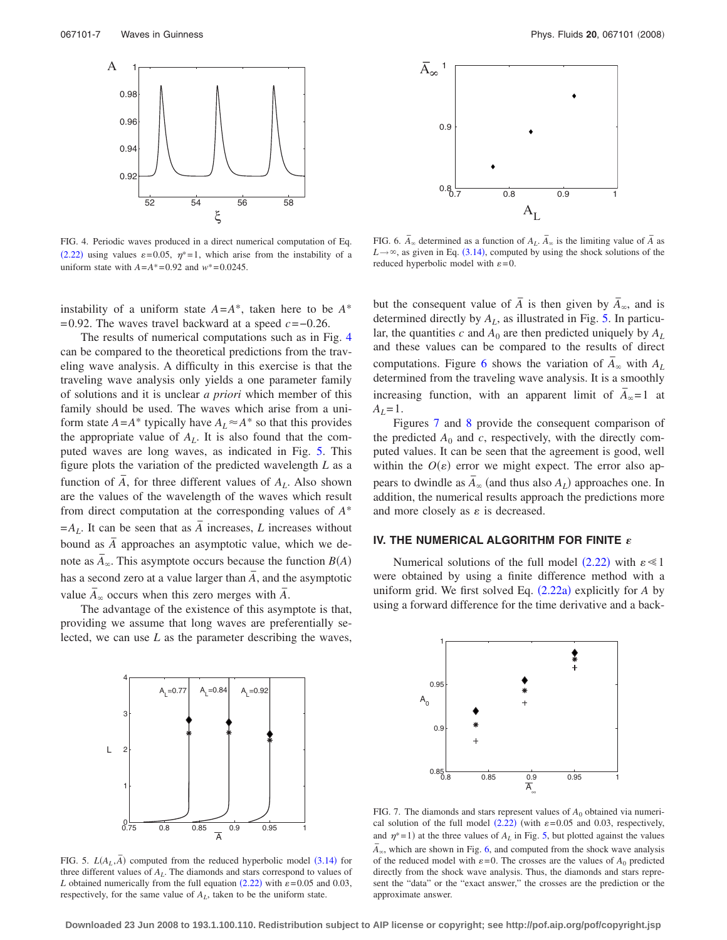<span id="page-6-0"></span>

FIG. 4. Periodic waves produced in a direct numerical computation of Eq. ([2.22](#page-3-1)) using values  $\varepsilon = 0.05$ ,  $\eta^* = 1$ , which arise from the instability of a uniform state with  $A = A^* = 0.92$  and  $w^* = 0.0245$ .

instability of a uniform state  $A = A^*$ , taken here to be  $A^*$ = 0.92. The waves travel backward at a speed *c*=−0.26.

The results of numerical computations such as in Fig. [4](#page-6-0) can be compared to the theoretical predictions from the traveling wave analysis. A difficulty in this exercise is that the traveling wave analysis only yields a one parameter family of solutions and it is unclear *a priori* which member of this family should be used. The waves which arise from a uniform state  $A = A^*$  typically have  $A_L \approx A^*$  so that this provides the appropriate value of  $A_L$ . It is also found that the computed waves are long waves, as indicated in Fig. [5.](#page-6-1) This figure plots the variation of the predicted wavelength *L* as a function of  $\overline{A}$ , for three different values of  $A_L$ . Also shown are the values of the wavelength of the waves which result from direct computation at the corresponding values of *A*\*  $=$ *A*<sub>*L*</sub>. It can be seen that as  $\overline{A}$  increases, *L* increases without bound as  $\overline{A}$  approaches an asymptotic value, which we denote as  $\overline{A}_{\infty}$ . This asymptote occurs because the function  $B(A)$ has a second zero at a value larger than  $\overline{A}$ , and the asymptotic value  $\overline{A}_{\infty}$  occurs when this zero merges with  $\overline{A}$ .

The advantage of the existence of this asymptote is that, providing we assume that long waves are preferentially selected, we can use *L* as the parameter describing the waves,

<span id="page-6-1"></span>

FIG. 5.  $L(A_L, \overline{A})$  computed from the reduced hyperbolic model ([3.14](#page-5-2)) for three different values of *AL*. The diamonds and stars correspond to values of *L* obtained numerically from the full equation  $(2.22)$  $(2.22)$  $(2.22)$  with  $\varepsilon = 0.05$  and 0.03, respectively, for the same value of  $A_L$ , taken to be the uniform state.

<span id="page-6-2"></span>

FIG. 6.  $\overline{A}_{\infty}$  determined as a function of  $A_L$ .  $\overline{A}_{\infty}$  is the limiting value of  $\overline{A}$  as  $L \rightarrow \infty$ , as given in Eq. ([3.14](#page-5-2)), computed by using the shock solutions of the reduced hyperbolic model with  $\varepsilon = 0$ .

but the consequent value of  $\overline{A}$  is then given by  $\overline{A}_{\infty}$ , and is determined directly by *AL*, as illustrated in Fig. [5.](#page-6-1) In particular, the quantities  $c$  and  $A_0$  are then predicted uniquely by  $A_L$ and these values can be compared to the results of direct computations. Figure [6](#page-6-2) shows the variation of  $\overline{A}_{\infty}$  with  $A_L$ determined from the traveling wave analysis. It is a smoothly increasing function, with an apparent limit of  $\bar{A}_{\infty} = 1$  at  $A_L = 1$ .

Figures [7](#page-6-3) and [8](#page-7-0) provide the consequent comparison of the predicted  $A_0$  and  $c$ , respectively, with the directly computed values. It can be seen that the agreement is good, well within the  $O(\varepsilon)$  error we might expect. The error also appears to dwindle as  $\bar{A}_{\infty}$  (and thus also  $A_L$ ) approaches one. In addition, the numerical results approach the predictions more and more closely as  $\varepsilon$  is decreased.

#### **IV. THE NUMERICAL ALGORITHM FOR FINITE**

Numerical solutions of the full model  $(2.22)$  $(2.22)$  $(2.22)$  with  $\varepsilon \ll 1$ were obtained by using a finite difference method with a uniform grid. We first solved Eq. ([2.22a](#page-3-1)) explicitly for *A* by using a forward difference for the time derivative and a back-

<span id="page-6-3"></span>

FIG. 7. The diamonds and stars represent values of  $A_0$  obtained via numerical solution of the full model  $(2.22)$  $(2.22)$  $(2.22)$  (with  $\varepsilon = 0.05$  and 0.03, respectively, and  $\eta^*$ =1) at the three values of  $A_L$  in Fig. [5,](#page-6-1) but plotted against the values  $\overline{A}_{\infty}$ , which are shown in Fig. [6,](#page-6-2) and computed from the shock wave analysis of the reduced model with  $\varepsilon = 0$ . The crosses are the values of  $A_0$  predicted directly from the shock wave analysis. Thus, the diamonds and stars represent the "data" or the "exact answer," the crosses are the prediction or the approximate answer.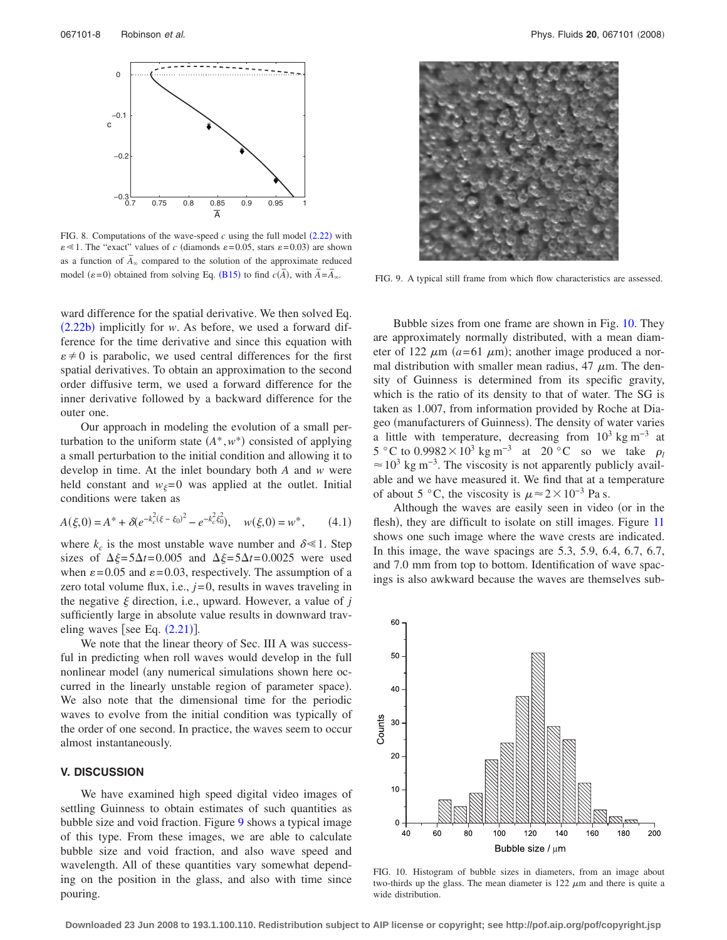<span id="page-7-0"></span>

FIG. 8. Computations of the wave-speed  $c$  using the full model  $(2.22)$  $(2.22)$  $(2.22)$  with  $\varepsilon \ll 1$ . The "exact" values of *c* (diamonds  $\varepsilon = 0.05$ , stars  $\varepsilon = 0.03$ ) are shown as a function of  $\overline{A}_{\infty}$  compared to the solution of the approximate reduced model ( $\varepsilon$ =0) obtained from solving Eq. ([B15](#page-14-31)) to find  $c(\overline{A})$ , with  $\overline{A} = \overline{A}$ 

ward difference for the spatial derivative. We then solved Eq. ([2.22b](#page-3-6)) implicitly for *w*. As before, we used a forward difference for the time derivative and since this equation with  $\varepsilon \neq 0$  is parabolic, we used central differences for the first spatial derivatives. To obtain an approximation to the second order diffusive term, we used a forward difference for the inner derivative followed by a backward difference for the outer one.

Our approach in modeling the evolution of a small perturbation to the uniform state  $(A^*, w^*)$  consisted of applying a small perturbation to the initial condition and allowing it to develop in time. At the inlet boundary both *A* and *w* were held constant and  $w_{\xi}=0$  was applied at the outlet. Initial conditions were taken as

$$
A(\xi,0) = A^* + \delta(e^{-k_c^2(\xi - \xi_0)^2} - e^{-k_c^2 \xi_0^2}), \quad w(\xi,0) = w^*, \qquad (4.1)
$$

where  $k_c$  is the most unstable wave number and  $\delta \le 1$ . Step sizes of  $\Delta \xi = 5\Delta t = 0.005$  and  $\Delta \xi = 5\Delta t = 0.0025$  were used when  $\varepsilon = 0.05$  and  $\varepsilon = 0.03$ , respectively. The assumption of a zero total volume flux, i.e.,  $j=0$ , results in waves traveling in the negative  $\xi$  direction, i.e., upward. However, a value of  $j$ sufficiently large in absolute value results in downward traveling waves [see Eq.  $(2.21)$  $(2.21)$  $(2.21)$ ].

We note that the linear theory of Sec. III A was successful in predicting when roll waves would develop in the full nonlinear model (any numerical simulations shown here occurred in the linearly unstable region of parameter space). We also note that the dimensional time for the periodic waves to evolve from the initial condition was typically of the order of one second. In practice, the waves seem to occur almost instantaneously.

# **V. DISCUSSION**

We have examined high speed digital video images of settling Guinness to obtain estimates of such quantities as bubble size and void fraction. Figure [9](#page-7-1) shows a typical image of this type. From these images, we are able to calculate bubble size and void fraction, and also wave speed and wavelength. All of these quantities vary somewhat depending on the position in the glass, and also with time since pouring.

<span id="page-7-1"></span>

. FIG. 9. A typical still frame from which flow characteristics are assessed.

Bubble sizes from one frame are shown in Fig. [10.](#page-7-2) They are approximately normally distributed, with a mean diameter of 122  $\mu$ m ( $a=61 \mu$ m); another image produced a normal distribution with smaller mean radius, 47  $\mu$ m. The density of Guinness is determined from its specific gravity, which is the ratio of its density to that of water. The SG is taken as 1.007, from information provided by Roche at Diageo (manufacturers of Guinness). The density of water varies a little with temperature, decreasing from  $10^3$  kg m<sup>-3</sup> at 5 °C to 0.9982 × 10<sup>3</sup> kg m<sup>-3</sup> at 20 °C so we take  $\rho_l$  $\approx 10^3$  kg m<sup>-3</sup>. The viscosity is not apparently publicly available and we have measured it. We find that at a temperature of about 5 °C, the viscosity is  $\mu \approx 2 \times 10^{-3}$  Pa s.

Although the waves are easily seen in video (or in the flesh), they are difficult to isolate on still images. Figure [11](#page-8-0) shows one such image where the wave crests are indicated. In this image, the wave spacings are 5.3, 5.9, 6.4, 6.7, 6.7, and 7.0 mm from top to bottom. Identification of wave spacings is also awkward because the waves are themselves sub-

<span id="page-7-2"></span>

FIG. 10. Histogram of bubble sizes in diameters, from an image about two-thirds up the glass. The mean diameter is  $122 \mu m$  and there is quite a wide distribution.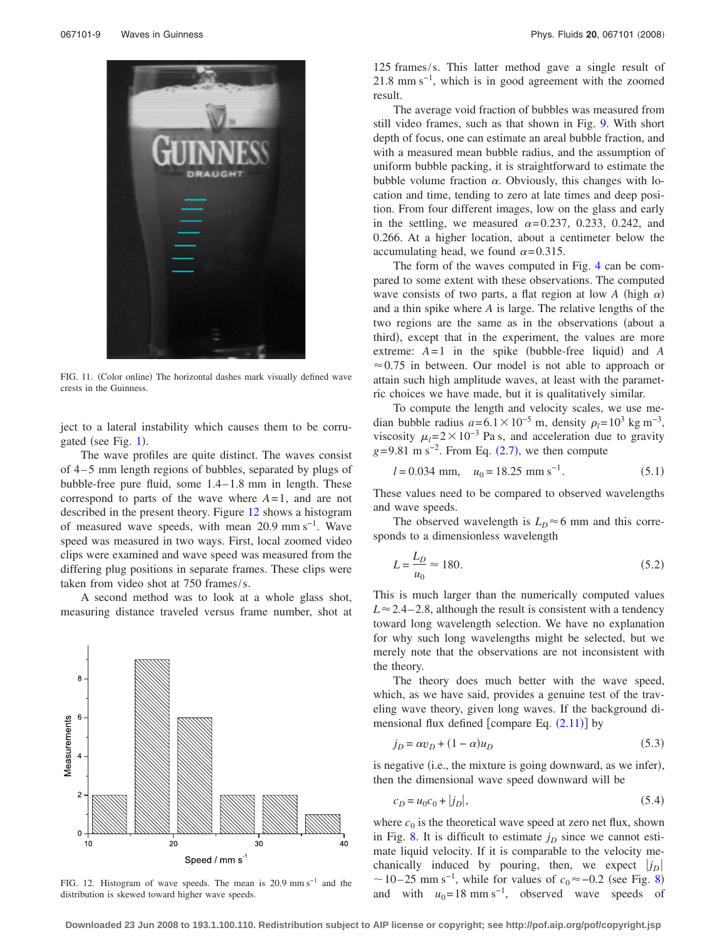<span id="page-8-0"></span>

FIG. 11. (Color online) The horizontal dashes mark visually defined wave crests in the Guinness.

ject to a lateral instability which causes them to be corru-gated (see Fig. [1](#page-1-0)).

The wave profiles are quite distinct. The waves consist of 4 – 5 mm length regions of bubbles, separated by plugs of bubble-free pure fluid, some 1.4– 1.8 mm in length. These correspond to parts of the wave where  $A = 1$ , and are not described in the present theory. Figure [12](#page-8-1) shows a histogram of measured wave speeds, with mean 20.9 mm s−1. Wave speed was measured in two ways. First, local zoomed video clips were examined and wave speed was measured from the differing plug positions in separate frames. These clips were taken from video shot at 750 frames/s.

A second method was to look at a whole glass shot, measuring distance traveled versus frame number, shot at

<span id="page-8-1"></span>

FIG. 12. Histogram of wave speeds. The mean is 20.9 mm s−1 and the distribution is skewed toward higher wave speeds.

125 frames/s. This latter method gave a single result of 21.8 mm s<sup> $-1$ </sup>, which is in good agreement with the zoomed result.

The average void fraction of bubbles was measured from still video frames, such as that shown in Fig. [9.](#page-7-1) With short depth of focus, one can estimate an areal bubble fraction, and with a measured mean bubble radius, and the assumption of uniform bubble packing, it is straightforward to estimate the bubble volume fraction  $\alpha$ . Obviously, this changes with location and time, tending to zero at late times and deep position. From four different images, low on the glass and early in the settling, we measured  $\alpha = 0.237, 0.233, 0.242,$  and 0.266. At a higher location, about a centimeter below the accumulating head, we found  $\alpha = 0.315$ .

The form of the waves computed in Fig. [4](#page-6-0) can be compared to some extent with these observations. The computed wave consists of two parts, a flat region at low  $A$  (high  $\alpha$ ) and a thin spike where *A* is large. The relative lengths of the two regions are the same as in the observations (about a third), except that in the experiment, the values are more extreme:  $A = 1$  in the spike (bubble-free liquid) and  $A$  $\approx 0.75$  in between. Our model is not able to approach or attain such high amplitude waves, at least with the parametric choices we have made, but it is qualitatively similar.

To compute the length and velocity scales, we use median bubble radius  $a = 6.1 \times 10^{-5}$  m, density  $\rho_l = 10^3$  kg m<sup>-3</sup>, viscosity  $\mu_l = 2 \times 10^{-3}$  Pa s, and acceleration due to gravity  $g = 9.81 \text{ m s}^{-2}$ . From Eq.  $(2.7)$  $(2.7)$  $(2.7)$ , we then compute

$$
l = 0.034
$$
 mm,  $u_0 = 18.25$  mm s<sup>-1</sup>. (5.1)

These values need to be compared to observed wavelengths and wave speeds.

The observed wavelength is  $L<sub>D</sub> \approx 6$  mm and this corresponds to a dimensionless wavelength

$$
L = \frac{L_D}{u_0} \approx 180. \tag{5.2}
$$

This is much larger than the numerically computed values  $L \approx 2.4 - 2.8$ , although the result is consistent with a tendency toward long wavelength selection. We have no explanation for why such long wavelengths might be selected, but we merely note that the observations are not inconsistent with the theory.

The theory does much better with the wave speed, which, as we have said, provides a genuine test of the traveling wave theory, given long waves. If the background dimensional flux defined [compare Eq.  $(2.11)$  $(2.11)$  $(2.11)$ ] by

$$
j_D = \alpha v_D + (1 - \alpha)u_D \tag{5.3}
$$

is negative (i.e., the mixture is going downward, as we infer), then the dimensional wave speed downward will be

$$
c_D = u_0 c_0 + |j_D|,\t\t(5.4)
$$

where  $c_0$  is the theoretical wave speed at zero net flux, shown in Fig. [8.](#page-7-0) It is difficult to estimate  $j<sub>D</sub>$  since we cannot estimate liquid velocity. If it is comparable to the velocity mechanically induced by pouring, then, we expect  $|j_D|$  $\sim$  10–25 mm s<sup>-1</sup>, while for values of *c*<sub>0</sub>≈–0.2 (see Fig. [8](#page-7-0)) and with  $u_0$ = 18 mm s<sup>-1</sup>, observed wave speeds of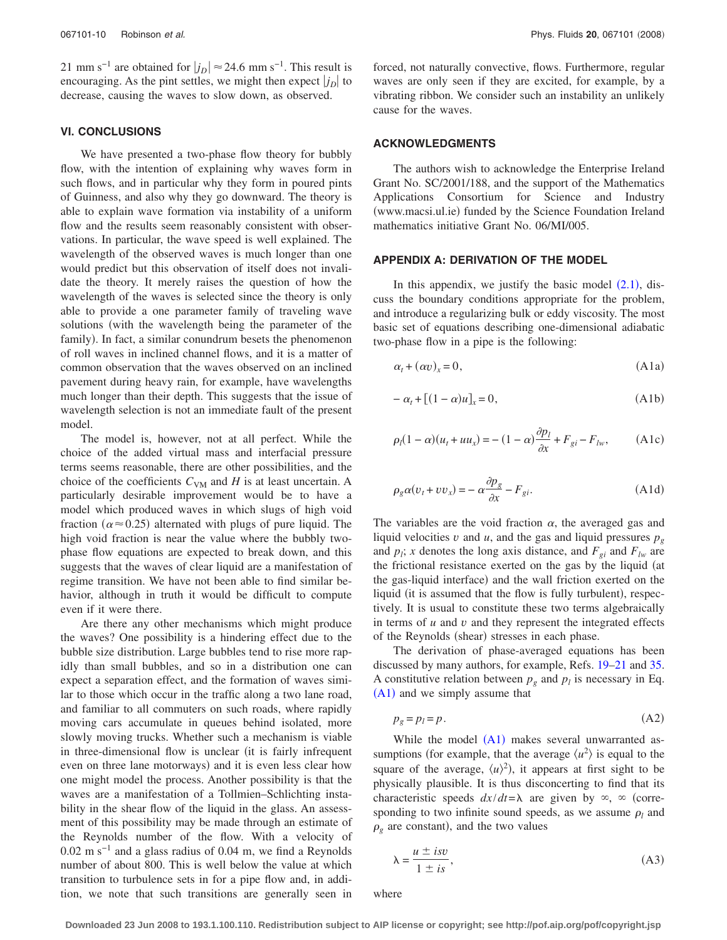21 mm s<sup>-1</sup> are obtained for  $|j_D| \approx 24.6$  mm s<sup>-1</sup>. This result is encouraging. As the pint settles, we might then expect  $|j_D|$  to decrease, causing the waves to slow down, as observed.

# **VI. CONCLUSIONS**

We have presented a two-phase flow theory for bubbly flow, with the intention of explaining why waves form in such flows, and in particular why they form in poured pints of Guinness, and also why they go downward. The theory is able to explain wave formation via instability of a uniform flow and the results seem reasonably consistent with observations. In particular, the wave speed is well explained. The wavelength of the observed waves is much longer than one would predict but this observation of itself does not invalidate the theory. It merely raises the question of how the wavelength of the waves is selected since the theory is only able to provide a one parameter family of traveling wave solutions (with the wavelength being the parameter of the family). In fact, a similar conundrum besets the phenomenon of roll waves in inclined channel flows, and it is a matter of common observation that the waves observed on an inclined pavement during heavy rain, for example, have wavelengths much longer than their depth. This suggests that the issue of wavelength selection is not an immediate fault of the present model.

The model is, however, not at all perfect. While the choice of the added virtual mass and interfacial pressure terms seems reasonable, there are other possibilities, and the choice of the coefficients  $C_{VM}$  and  $H$  is at least uncertain. A particularly desirable improvement would be to have a model which produced waves in which slugs of high void fraction ( $\alpha \approx 0.25$ ) alternated with plugs of pure liquid. The high void fraction is near the value where the bubbly twophase flow equations are expected to break down, and this suggests that the waves of clear liquid are a manifestation of regime transition. We have not been able to find similar behavior, although in truth it would be difficult to compute even if it were there.

Are there any other mechanisms which might produce the waves? One possibility is a hindering effect due to the bubble size distribution. Large bubbles tend to rise more rapidly than small bubbles, and so in a distribution one can expect a separation effect, and the formation of waves similar to those which occur in the traffic along a two lane road, and familiar to all commuters on such roads, where rapidly moving cars accumulate in queues behind isolated, more slowly moving trucks. Whether such a mechanism is viable in three-dimensional flow is unclear (it is fairly infrequent even on three lane motorways) and it is even less clear how one might model the process. Another possibility is that the waves are a manifestation of a Tollmien–Schlichting instability in the shear flow of the liquid in the glass. An assessment of this possibility may be made through an estimate of the Reynolds number of the flow. With a velocity of 0.02 m s−1 and a glass radius of 0.04 m, we find a Reynolds number of about 800. This is well below the value at which transition to turbulence sets in for a pipe flow and, in addition, we note that such transitions are generally seen in forced, not naturally convective, flows. Furthermore, regular waves are only seen if they are excited, for example, by a vibrating ribbon. We consider such an instability an unlikely cause for the waves.

# **ACKNOWLEDGMENTS**

The authors wish to acknowledge the Enterprise Ireland Grant No. SC/2001/188, and the support of the Mathematics Applications Consortium for Science and Industry (www.macsi.ul.ie) funded by the Science Foundation Ireland mathematics initiative Grant No. 06/MI/005.

#### **APPENDIX A: DERIVATION OF THE MODEL**

In this appendix, we justify the basic model  $(2.1)$  $(2.1)$  $(2.1)$ , discuss the boundary conditions appropriate for the problem, and introduce a regularizing bulk or eddy viscosity. The most basic set of equations describing one-dimensional adiabatic two-phase flow in a pipe is the following:

<span id="page-9-0"></span>
$$
\alpha_t + (\alpha v)_x = 0,\tag{A1a}
$$

<span id="page-9-1"></span>
$$
-\alpha_t + [(1 - \alpha)u]_x = 0, \tag{A1b}
$$

<span id="page-9-2"></span>
$$
\rho_l(1-\alpha)(u_t + uu_x) = -(1-\alpha)\frac{\partial p_l}{\partial x} + F_{gi} - F_{lw},\tag{A1c}
$$

$$
\rho_g \alpha (v_t + v v_x) = -\alpha \frac{\partial p_g}{\partial x} - F_{gi}.
$$
\n(A1d)

The variables are the void fraction  $\alpha$ , the averaged gas and liquid velocities  $v$  and  $u$ , and the gas and liquid pressures  $p<sub>g</sub>$ and  $p_i$ ; *x* denotes the long axis distance, and  $F_{gi}$  and  $F_{lw}$  are the frictional resistance exerted on the gas by the liquid (at the gas-liquid interface) and the wall friction exerted on the liquid (it is assumed that the flow is fully turbulent), respectively. It is usual to constitute these two terms algebraically in terms of *u* and *v* and they represent the integrated effects of the Reynolds (shear) stresses in each phase.

The derivation of phase-averaged equations has been discussed by many authors, for example, Refs. [19](#page-14-13)[–21](#page-14-14) and [35.](#page-14-32) A constitutive relation between  $p_g$  and  $p_l$  is necessary in Eq.  $(A1)$  $(A1)$  $(A1)$  and we simply assume that

$$
p_g = p_l = p. \tag{A2}
$$

While the model  $(A1)$  $(A1)$  $(A1)$  makes several unwarranted assumptions (for example, that the average  $\langle u^2 \rangle$  is equal to the square of the average,  $\langle u \rangle^2$ ), it appears at first sight to be physically plausible. It is thus disconcerting to find that its characteristic speeds  $dx/dt = \lambda$  are given by  $\infty$ ,  $\infty$  (corresponding to two infinite sound speeds, as we assume  $\rho_l$  and  $\rho_g$  are constant), and the two values

$$
\lambda = \frac{u \pm \textit{isv}}{1 \pm \textit{is}},\tag{A3}
$$

where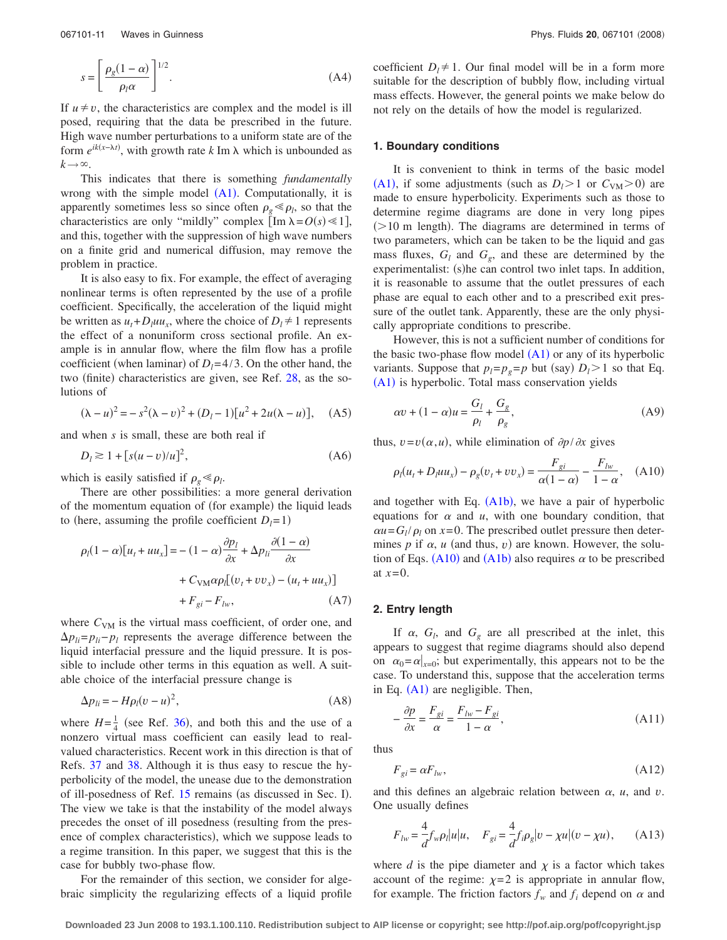$$
s = \left[\frac{\rho_g(1-\alpha)}{\rho_l \alpha}\right]^{1/2}.\tag{A4}
$$

If  $u \neq v$ , the characteristics are complex and the model is ill posed, requiring that the data be prescribed in the future. High wave number perturbations to a uniform state are of the form  $e^{ik(x-\lambda t)}$ , with growth rate *k* Im  $\lambda$  which is unbounded as  $k \rightarrow \infty$ .

This indicates that there is something *fundamentally* wrong with the simple model  $(A1)$  $(A1)$  $(A1)$ . Computationally, it is apparently sometimes less so since often  $\rho_g \le \rho_l$ , so that the characteristics are only "mildly" complex  $[\text{Im }\lambda = O(s) \ll 1]$ , and this, together with the suppression of high wave numbers on a finite grid and numerical diffusion, may remove the problem in practice.

It is also easy to fix. For example, the effect of averaging nonlinear terms is often represented by the use of a profile coefficient. Specifically, the acceleration of the liquid might be written as  $u_t + D_l u u_x$ , where the choice of  $D_l \neq 1$  represents the effect of a nonuniform cross sectional profile. An example is in annular flow, where the film flow has a profile coefficient (when laminar) of  $D_l = 4/3$ . On the other hand, the two (finite) characteristics are given, see Ref. [28,](#page-14-22) as the solutions of

$$
(\lambda - u)^2 = -s^2(\lambda - v)^2 + (D_l - 1)[u^2 + 2u(\lambda - u)], \quad \text{(A5)}
$$

and when *s* is small, these are both real if

$$
D_l \gtrsim 1 + [s(u-v)/u]^2,\tag{A6}
$$

which is easily satisfied if  $\rho_g \ll \rho_l$ .

There are other possibilities: a more general derivation of the momentum equation of (for example) the liquid leads to (here, assuming the profile coefficient  $D_l = 1$ )

$$
\rho_l (1 - \alpha) [u_t + uu_x] = -(1 - \alpha) \frac{\partial p_l}{\partial x} + \Delta p_{li} \frac{\partial (1 - \alpha)}{\partial x}
$$

$$
+ C_{VM} \alpha \rho_l [(v_t + vv_x) - (u_t + uu_x)]
$$

$$
+ F_{gi} - F_{lw}, \qquad (A7)
$$

where  $C<sub>VM</sub>$  is the virtual mass coefficient, of order one, and  $\Delta p_{li} = p_{li} - p_l$  represents the average difference between the liquid interfacial pressure and the liquid pressure. It is possible to include other terms in this equation as well. A suitable choice of the interfacial pressure change is

$$
\Delta p_{li} = -H\rho_l (v - u)^2,\tag{A8}
$$

where  $H = \frac{1}{4}$  (see Ref. [36](#page-14-33)), and both this and the use of a nonzero virtual mass coefficient can easily lead to realvalued characteristics. Recent work in this direction is that of Refs. [37](#page-14-34) and [38.](#page-14-35) Although it is thus easy to rescue the hyperbolicity of the model, the unease due to the demonstration of ill-posedness of Ref. [15](#page-14-10) remains (as discussed in Sec. I). The view we take is that the instability of the model always precedes the onset of ill posedness (resulting from the presence of complex characteristics), which we suppose leads to a regime transition. In this paper, we suggest that this is the case for bubbly two-phase flow.

For the remainder of this section, we consider for algebraic simplicity the regularizing effects of a liquid profile coefficient  $D_1 \neq 1$ . Our final model will be in a form more suitable for the description of bubbly flow, including virtual mass effects. However, the general points we make below do not rely on the details of how the model is regularized.

#### **1. Boundary conditions**

It is convenient to think in terms of the basic model ([A1](#page-9-0)), if some adjustments (such as  $D_l > 1$  or  $C_{VM} > 0$ ) are made to ensure hyperbolicity. Experiments such as those to determine regime diagrams are done in very long pipes  $($ >10 m length). The diagrams are determined in terms of two parameters, which can be taken to be the liquid and gas mass fluxes,  $G_l$  and  $G_g$ , and these are determined by the experimentalist: (s)he can control two inlet taps. In addition, it is reasonable to assume that the outlet pressures of each phase are equal to each other and to a prescribed exit pressure of the outlet tank. Apparently, these are the only physically appropriate conditions to prescribe.

However, this is not a sufficient number of conditions for the basic two-phase flow model  $(A1)$  $(A1)$  $(A1)$  or any of its hyperbolic variants. Suppose that  $p_l = p_g = p$  but (say)  $D_l > 1$  so that Eq. ([A1](#page-9-0)) is hyperbolic. Total mass conservation yields

$$
\alpha v + (1 - \alpha)u = \frac{G_l}{\rho_l} + \frac{G_g}{\rho_g},\tag{A9}
$$

<span id="page-10-0"></span>thus,  $v = v(\alpha, u)$ , while elimination of  $\partial p / \partial x$  gives

$$
\rho_l(u_t + D_l u u_x) - \rho_g(v_t + v v_x) = \frac{F_{gi}}{\alpha(1 - \alpha)} - \frac{F_{lw}}{1 - \alpha}, \quad (A10)
$$

and together with Eq.  $(A1b)$  $(A1b)$  $(A1b)$ , we have a pair of hyperbolic equations for  $\alpha$  and  $u$ , with one boundary condition, that  $\alpha u = G_l / \rho_l$  on  $x = 0$ . The prescribed outlet pressure then determines  $p$  if  $\alpha$ ,  $u$  (and thus,  $v$ ) are known. However, the solu-tion of Eqs. ([A10](#page-10-0)) and ([A1b](#page-9-1)) also requires  $\alpha$  to be prescribed at  $x=0$ .

## **2. Entry length**

If  $\alpha$ ,  $G_l$ , and  $G_g$  are all prescribed at the inlet, this appears to suggest that regime diagrams should also depend on  $\alpha_0 = \alpha|_{x=0}$ ; but experimentally, this appears not to be the case. To understand this, suppose that the acceleration terms in Eq.  $(A1)$  $(A1)$  $(A1)$  are negligible. Then,

$$
-\frac{\partial p}{\partial x} = \frac{F_{gi}}{\alpha} = \frac{F_{lw} - F_{gi}}{1 - \alpha},\tag{A11}
$$

<span id="page-10-1"></span>thus

$$
F_{gi} = \alpha F_{lw},\tag{A12}
$$

and this defines an algebraic relation between  $\alpha$ ,  $u$ , and  $v$ . One usually defines

<span id="page-10-2"></span>
$$
F_{lw} = \frac{4}{d} f_w \rho_l |u| u, \quad F_{gi} = \frac{4}{d} f_l \rho_g |v - \chi u| (v - \chi u), \quad (A13)
$$

where  $d$  is the pipe diameter and  $\chi$  is a factor which takes account of the regime:  $\chi = 2$  is appropriate in annular flow, for example. The friction factors  $f_w$  and  $f_i$  depend on  $\alpha$  and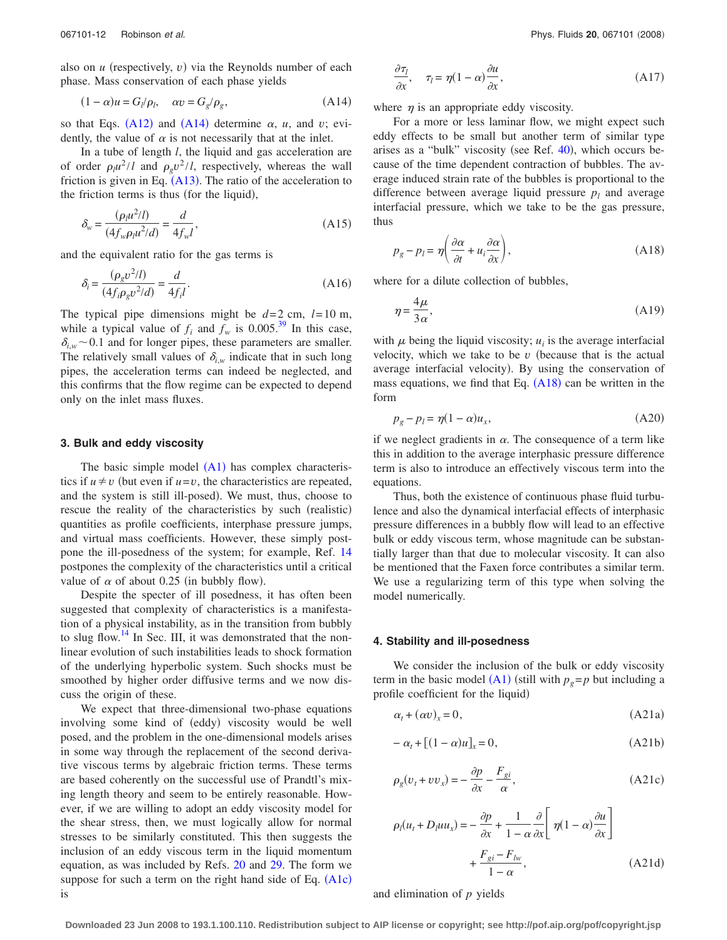also on  $u$  (respectively,  $v$ ) via the Reynolds number of each phase. Mass conservation of each phase yields

$$
(1 - \alpha)u = G_{\parallel}/\rho_l, \quad \alpha v = G_{g}/\rho_g,
$$
\n(A14)

<span id="page-11-1"></span>so that Eqs. ([A12](#page-10-1)) and ([A14](#page-11-1)) determine  $\alpha$ , *u*, and *v*; evidently, the value of  $\alpha$  is not necessarily that at the inlet.

In a tube of length *l*, the liquid and gas acceleration are of order  $\rho_l u^2 / l$  and  $\rho_g v^2 / l$ , respectively, whereas the wall friction is given in Eq.  $(A13)$  $(A13)$  $(A13)$ . The ratio of the acceleration to the friction terms is thus (for the liquid),

$$
\delta_w = \frac{(\rho_l u^2/l)}{(4f_w \rho_l u^2/d)} = \frac{d}{4f_w l},
$$
\n(A15)

and the equivalent ratio for the gas terms is

$$
\delta_i = \frac{(\rho_g v^2/l)}{(4f_i \rho_g v^2/d)} = \frac{d}{4f_i l}.
$$
\n(A16)

The typical pipe dimensions might be  $d=2$  cm,  $l=10$  m, while a typical value of  $f_i$  and  $f_w$  is 0.005.<sup>39</sup> In this case,  $\delta_{i,w}$  ~ 0.1 and for longer pipes, these parameters are smaller. The relatively small values of  $\delta_{i,w}$  indicate that in such long pipes, the acceleration terms can indeed be neglected, and this confirms that the flow regime can be expected to depend only on the inlet mass fluxes.

## **3. Bulk and eddy viscosity**

The basic simple model  $(A1)$  $(A1)$  $(A1)$  has complex characteristics if  $u \neq v$  (but even if  $u=v$ , the characteristics are repeated, and the system is still ill-posed). We must, thus, choose to rescue the reality of the characteristics by such (realistic) quantities as profile coefficients, interphase pressure jumps, and virtual mass coefficients. However, these simply postpone the ill-posedness of the system; for example, Ref. [14](#page-14-9) postpones the complexity of the characteristics until a critical value of  $\alpha$  of about 0.25 (in bubbly flow).

Despite the specter of ill posedness, it has often been suggested that complexity of characteristics is a manifestation of a physical instability, as in the transition from bubbly to slug flow.<sup>14</sup> In Sec. III, it was demonstrated that the nonlinear evolution of such instabilities leads to shock formation of the underlying hyperbolic system. Such shocks must be smoothed by higher order diffusive terms and we now discuss the origin of these.

We expect that three-dimensional two-phase equations involving some kind of (eddy) viscosity would be well posed, and the problem in the one-dimensional models arises in some way through the replacement of the second derivative viscous terms by algebraic friction terms. These terms are based coherently on the successful use of Prandtl's mixing length theory and seem to be entirely reasonable. However, if we are willing to adopt an eddy viscosity model for the shear stress, then, we must logically allow for normal stresses to be similarly constituted. This then suggests the inclusion of an eddy viscous term in the liquid momentum equation, as was included by Refs. [20](#page-14-28) and [29.](#page-14-23) The form we suppose for such a term on the right hand side of Eq.  $(A1c)$  $(A1c)$  $(A1c)$ is

$$
\frac{\partial \tau_l}{\partial x}, \quad \tau_l = \eta (1 - \alpha) \frac{\partial u}{\partial x}, \tag{A17}
$$

where  $\eta$  is an appropriate eddy viscosity.

For a more or less laminar flow, we might expect such eddy effects to be small but another term of similar type arises as a "bulk" viscosity (see Ref. [40](#page-14-37)), which occurs because of the time dependent contraction of bubbles. The average induced strain rate of the bubbles is proportional to the difference between average liquid pressure  $p_l$  and average interfacial pressure, which we take to be the gas pressure, thus

<span id="page-11-2"></span>
$$
p_g - p_l = \eta \left( \frac{\partial \alpha}{\partial t} + u_i \frac{\partial \alpha}{\partial x} \right),\tag{A18}
$$

<span id="page-11-0"></span>where for a dilute collection of bubbles,

$$
\eta = \frac{4\mu}{3\alpha},\tag{A19}
$$

with  $\mu$  being the liquid viscosity;  $u_i$  is the average interfacial velocity, which we take to be  $v$  (because that is the actual average interfacial velocity). By using the conservation of mass equations, we find that Eq.  $(A18)$  $(A18)$  $(A18)$  can be written in the form

$$
p_g - p_l = \eta (1 - \alpha) u_x,\tag{A20}
$$

<span id="page-11-4"></span>if we neglect gradients in  $\alpha$ . The consequence of a term like this in addition to the average interphasic pressure difference term is also to introduce an effectively viscous term into the equations.

Thus, both the existence of continuous phase fluid turbulence and also the dynamical interfacial effects of interphasic pressure differences in a bubbly flow will lead to an effective bulk or eddy viscous term, whose magnitude can be substantially larger than that due to molecular viscosity. It can also be mentioned that the Faxen force contributes a similar term. We use a regularizing term of this type when solving the model numerically.

#### **4. Stability and ill-posedness**

We consider the inclusion of the bulk or eddy viscosity term in the basic model ([A1](#page-9-0)) (still with  $p_g = p$  but including a profile coefficient for the liquid)

$$
\alpha_t + (\alpha v)_x = 0,\tag{A21a}
$$

<span id="page-11-3"></span>
$$
-\alpha_t + [(1 - \alpha)u]_x = 0,\tag{A21b}
$$

$$
\rho_g(v_t + vv_x) = -\frac{\partial p}{\partial x} - \frac{F_{gi}}{\alpha},\tag{A21c}
$$

$$
\rho_l(u_t + D_l u u_x) = -\frac{\partial p}{\partial x} + \frac{1}{1 - \alpha} \frac{\partial}{\partial x} \left[ \eta (1 - \alpha) \frac{\partial u}{\partial x} \right] + \frac{F_{gi} - F_{lw}}{1 - \alpha},
$$
\n(A21d)

and elimination of *p* yields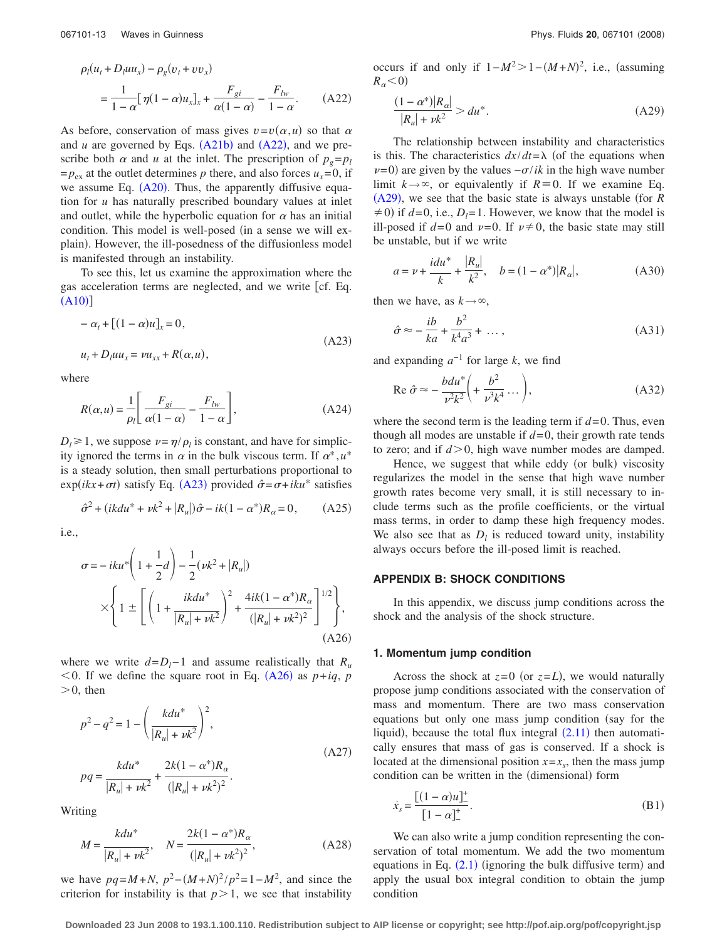<span id="page-12-0"></span>
$$
\rho_l(u_t + D_l u u_x) - \rho_g (v_t + v v_x)
$$
  
= 
$$
\frac{1}{1 - \alpha} [\eta (1 - \alpha) u_x]_x + \frac{F_{gi}}{\alpha (1 - \alpha)} - \frac{F_{lw}}{1 - \alpha}.
$$
 (A22)

As before, conservation of mass gives  $v = v(\alpha, u)$  so that  $\alpha$ and  $u$  are governed by Eqs.  $(A21b)$  $(A21b)$  $(A21b)$  and  $(A22)$  $(A22)$  $(A22)$ , and we prescribe both  $\alpha$  and *u* at the inlet. The prescription of  $p_g = p_l$  $=p_{\text{ex}}$  at the outlet determines *p* there, and also forces  $u_x=0$ , if we assume Eq.  $(A20)$  $(A20)$  $(A20)$ . Thus, the apparently diffusive equation for *u* has naturally prescribed boundary values at inlet and outlet, while the hyperbolic equation for  $\alpha$  has an initial condition. This model is well-posed (in a sense we will explain). However, the ill-posedness of the diffusionless model is manifested through an instability.

To see this, let us examine the approximation where the gas acceleration terms are neglected, and we write [cf. Eq.  $(A10)$  $(A10)$  $(A10)$ 

<span id="page-12-1"></span>
$$
-\alpha_t + [(1 - \alpha)u]_x = 0,
$$
  
\n
$$
u_t + D_l u u_x = \nu u_{xx} + R(\alpha, u),
$$
\n(A23)

where

$$
R(\alpha, u) = \frac{1}{\rho_l} \left[ \frac{F_{gi}}{\alpha(1 - \alpha)} - \frac{F_{lw}}{1 - \alpha} \right],
$$
 (A24)

 $D_l \ge 1$ , we suppose  $\nu = \eta / \rho_l$  is constant, and have for simplicity ignored the terms in  $\alpha$  in the bulk viscous term. If  $\alpha^*$ ,  $u^*$ is a steady solution, then small perturbations proportional to  $\exp(ikx + \sigma t)$  satisfy Eq. ([A23](#page-12-1)) provided  $\hat{\sigma} = \sigma + iku^*$  satisfies

$$
\hat{\sigma}^2 + (ikdu^* + \nu k^2 + |R_u|)\hat{\sigma} - ik(1 - \alpha^*)R_\alpha = 0, \qquad (A25)
$$

<span id="page-12-2"></span>i.e.,

$$
\sigma = -iku^* \left( 1 + \frac{1}{2}d \right) - \frac{1}{2} (\nu k^2 + |R_u|)
$$
  
 
$$
\times \left\{ 1 \pm \left[ \left( 1 + \frac{ikdu^*}{|R_u| + \nu k^2} \right)^2 + \frac{4ik(1 - \alpha^*)R_\alpha}{(|R_u| + \nu k^2)^2} \right]^{1/2} \right\},
$$
(A26)

where we write  $d=D_l-1$  and assume realistically that  $R_u$  $<$  0. If we define the square root in Eq. ([A26](#page-12-2)) as  $p+iq$ ,  $p$  $>0$ , then

$$
p^{2} - q^{2} = 1 - \left(\frac{kdu^{*}}{|R_{u}| + vk^{2}}\right)^{2},
$$
  

$$
pq = \frac{kdu^{*}}{|R_{u}| + vk^{2}} + \frac{2k(1 - \alpha^{*})R_{\alpha}}{(|R_{u}| + vk^{2})^{2}}.
$$
 (A27)

Writing

$$
M = \frac{kdu^*}{|R_u| + \nu k^2}, \quad N = \frac{2k(1 - \alpha^*)R_\alpha}{(|R_u| + \nu k^2)^2},
$$
(A28)

we have  $pq = M + N$ ,  $p^2 - (M + N)^2 / p^2 = 1 - M^2$ , and since the criterion for instability is that  $p>1$ , we see that instability <span id="page-12-3"></span>occurs if and only if  $1-M^2 > 1-(M+N)^2$ , i.e., (assuming *R* 0-

$$
\frac{(1 - \alpha^*)|R_{\alpha}|}{|R_{u}| + \nu k^2} > du^*.
$$
\n(A29)

The relationship between instability and characteristics is this. The characteristics  $dx/dt = \lambda$  (of the equations when  $\nu$ =0) are given by the values  $-\sigma/ik$  in the high wave number limit  $k \rightarrow \infty$ , or equivalently if  $R=0$ . If we examine Eq. ([A29](#page-12-3)), we see that the basic state is always unstable (for *R*  $\neq$  0) if *d*=0, i.e., *D*<sub>*l*</sub>=1. However, we know that the model is ill-posed if  $d=0$  and  $\nu=0$ . If  $\nu \neq 0$ , the basic state may still be unstable, but if we write

$$
a = \nu + \frac{i du^*}{k} + \frac{|R_u|}{k^2}, \quad b = (1 - \alpha^*)|R_\alpha|,
$$
 (A30)

then we have, as  $k \rightarrow \infty$ ,

$$
\hat{\sigma} \approx -\frac{ib}{ka} + \frac{b^2}{k^4 a^3} + \dots,\tag{A31}
$$

and expanding  $a^{-1}$  for large *k*, we find

Re 
$$
\hat{\sigma} \approx -\frac{bdu^*}{v^2k^2} \left( + \frac{b^2}{v^3k^4} \dots \right)
$$
, (A32)

where the second term is the leading term if  $d=0$ . Thus, even though all modes are unstable if  $d=0$ , their growth rate tends to zero; and if  $d > 0$ , high wave number modes are damped.

Hence, we suggest that while eddy (or bulk) viscosity regularizes the model in the sense that high wave number growth rates become very small, it is still necessary to include terms such as the profile coefficients, or the virtual mass terms, in order to damp these high frequency modes. We also see that as  $D_l$  is reduced toward unity, instability always occurs before the ill-posed limit is reached.

## **APPENDIX B: SHOCK CONDITIONS**

In this appendix, we discuss jump conditions across the shock and the analysis of the shock structure.

## **1. Momentum jump condition**

Across the shock at  $z=0$  (or  $z=L$ ), we would naturally propose jump conditions associated with the conservation of mass and momentum. There are two mass conservation equations but only one mass jump condition (say for the liquid), because the total flux integral  $(2.11)$  $(2.11)$  $(2.11)$  then automatically ensures that mass of gas is conserved. If a shock is located at the dimensional position  $x = x_s$ , then the mass jump condition can be written in the (dimensional) form

$$
\dot{x}_s = \frac{[(1-\alpha)u]_+^+}{[1-\alpha]_+^+}.
$$
\n(B1)

We can also write a jump condition representing the conservation of total momentum. We add the two momentum equations in Eq.  $(2.1)$  $(2.1)$  $(2.1)$  (ignoring the bulk diffusive term) and apply the usual box integral condition to obtain the jump condition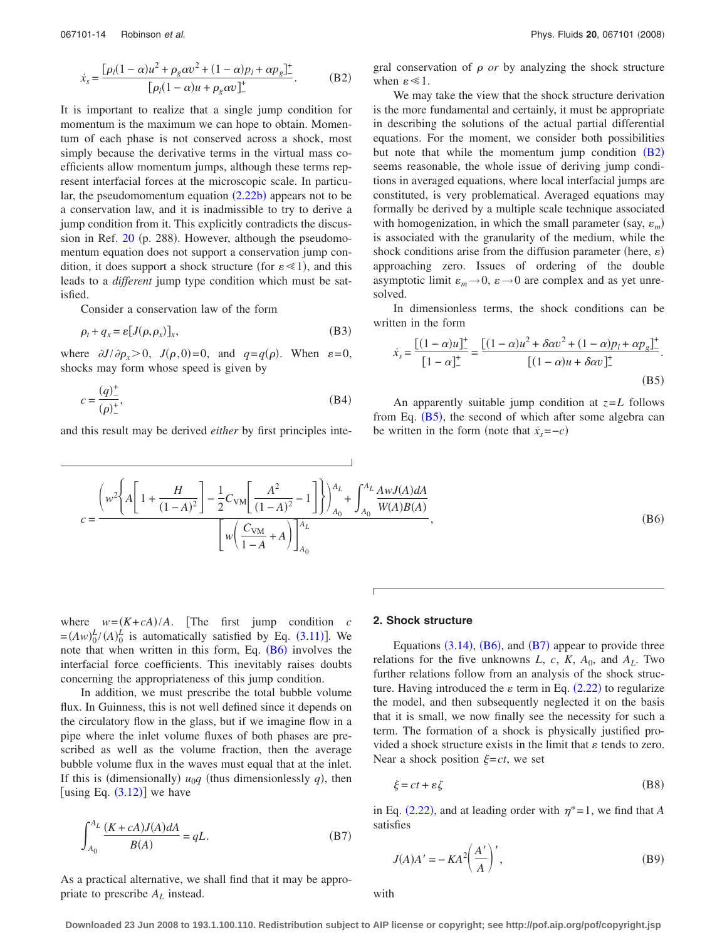<span id="page-13-1"></span>
$$
\dot{x}_s = \frac{\left[\rho_l (1 - \alpha) u^2 + \rho_g \alpha v^2 + (1 - \alpha) p_l + \alpha p_g\right]^+}{\left[\rho_l (1 - \alpha) u + \rho_g \alpha v\right]^+}.
$$
 (B2)

It is important to realize that a single jump condition for momentum is the maximum we can hope to obtain. Momentum of each phase is not conserved across a shock, most simply because the derivative terms in the virtual mass coefficients allow momentum jumps, although these terms represent interfacial forces at the microscopic scale. In particu-lar, the pseudomomentum equation ([2.22b](#page-3-6)) appears not to be a conservation law, and it is inadmissible to try to derive a jump condition from it. This explicitly contradicts the discus-sion in Ref. [20](#page-14-28) (p. 288). However, although the pseudomomentum equation does not support a conservation jump condition, it does support a shock structure (for  $\varepsilon \ll 1$ ), and this leads to a *different* jump type condition which must be satisfied.

Consider a conservation law of the form

$$
\rho_t + q_x = \varepsilon [J(\rho, \rho_x)]_x, \tag{B3}
$$

where  $\partial J/\partial \rho_x > 0$ ,  $J(\rho, 0) = 0$ , and  $q = q(\rho)$ . When  $\varepsilon = 0$ , shocks may form whose speed is given by

$$
c = \frac{(q)^{\perp}}{(p)^{\perp}},
$$
 (B4)

and this result may be derived *either* by first principles inte-

gral conservation of  $\rho$  or by analyzing the shock structure when  $\varepsilon \ll 1$ .

We may take the view that the shock structure derivation is the more fundamental and certainly, it must be appropriate in describing the solutions of the actual partial differential equations. For the moment, we consider both possibilities but note that while the momentum jump condition  $(B2)$  $(B2)$  $(B2)$ seems reasonable, the whole issue of deriving jump conditions in averaged equations, where local interfacial jumps are constituted, is very problematical. Averaged equations may formally be derived by a multiple scale technique associated with homogenization, in which the small parameter (say,  $\varepsilon_m$ ) is associated with the granularity of the medium, while the shock conditions arise from the diffusion parameter (here,  $\varepsilon$ ) approaching zero. Issues of ordering of the double asymptotic limit  $\varepsilon_m \to 0$ ,  $\varepsilon \to 0$  are complex and as yet unresolved.

In dimensionless terms, the shock conditions can be written in the form

<span id="page-13-2"></span>
$$
\dot{x}_s = \frac{[(1-\alpha)u]_+^+}{[1-\alpha]_-^+} = \frac{[(1-\alpha)u^2 + \delta\alpha v^2 + (1-\alpha)p_l + \alpha p_s]_+^+}{[(1-\alpha)u + \delta\alpha v]_+^+}.
$$
\n(B5)

An apparently suitable jump condition at  $z = L$  follows from Eq. ([B5](#page-13-2)), the second of which after some algebra can be written in the form (note that  $\dot{x}_s = -c$ )

$$
c = \frac{\left(w^2 \left\{A \left[1 + \frac{H}{(1-A)^2}\right] - \frac{1}{2}C_{VM}\left[\frac{A^2}{(1-A)^2} - 1\right]\right\}\right)_{A_0}^{A_L} + \int_{A_0}^{A_L} \frac{A w J(A) dA}{W(A) B(A)}}{\left[w \left(\frac{C_{VM}}{1-A} + A\right)\right]_{A_0}^{A_L}}
$$
\n(B6)

 $(B6)$ 

where  $w = (K + cA)/A$ . [The first jump condition *c*  $=(Aw)_0^L/(A)_0^L$  is automatically satisfied by Eq. ([3.11](#page-4-3))]. We note that when written in this form, Eq.  $(B6)$  $(B6)$  $(B6)$  involves the interfacial force coefficients. This inevitably raises doubts concerning the appropriateness of this jump condition.

In addition, we must prescribe the total bubble volume flux. In Guinness, this is not well defined since it depends on the circulatory flow in the glass, but if we imagine flow in a pipe where the inlet volume fluxes of both phases are prescribed as well as the volume fraction, then the average bubble volume flux in the waves must equal that at the inlet. If this is (dimensionally)  $u_0q$  (thus dimensionlessly *q*), then [using Eq.  $(3.12)$  $(3.12)$  $(3.12)$ ] we have

<span id="page-13-0"></span>
$$
\int_{A_0}^{A_L} \frac{(K + cA)J(A)dA}{B(A)} = qL.
$$
 (B7)

As a practical alternative, we shall find that it may be appropriate to prescribe *AL* instead.

# **2. Shock structure**

Equations  $(3.14)$  $(3.14)$  $(3.14)$ ,  $(B6)$  $(B6)$  $(B6)$ , and  $(B7)$  $(B7)$  $(B7)$  appear to provide three relations for the five unknowns  $L$ ,  $c$ ,  $K$ ,  $A_0$ , and  $A_L$ . Two further relations follow from an analysis of the shock structure. Having introduced the  $\varepsilon$  term in Eq. ([2.22](#page-3-1)) to regularize the model, and then subsequently neglected it on the basis that it is small, we now finally see the necessity for such a term. The formation of a shock is physically justified provided a shock structure exists in the limit that  $\varepsilon$  tends to zero. Near a shock position  $\xi = ct$ , we set

$$
\xi = ct + \varepsilon \zeta \tag{B8}
$$

in Eq. ([2.22](#page-3-1)), and at leading order with  $\eta^* = 1$ , we find that *A* satisfies

<span id="page-13-3"></span>
$$
J(A)A' = -KA^2 \left(\frac{A'}{A}\right)',\tag{B9}
$$

with

**Downloaded 23 Jun 2008 to 193.1.100.110. Redistribution subject to AIP license or copyright; see http://pof.aip.org/pof/copyright.jsp**